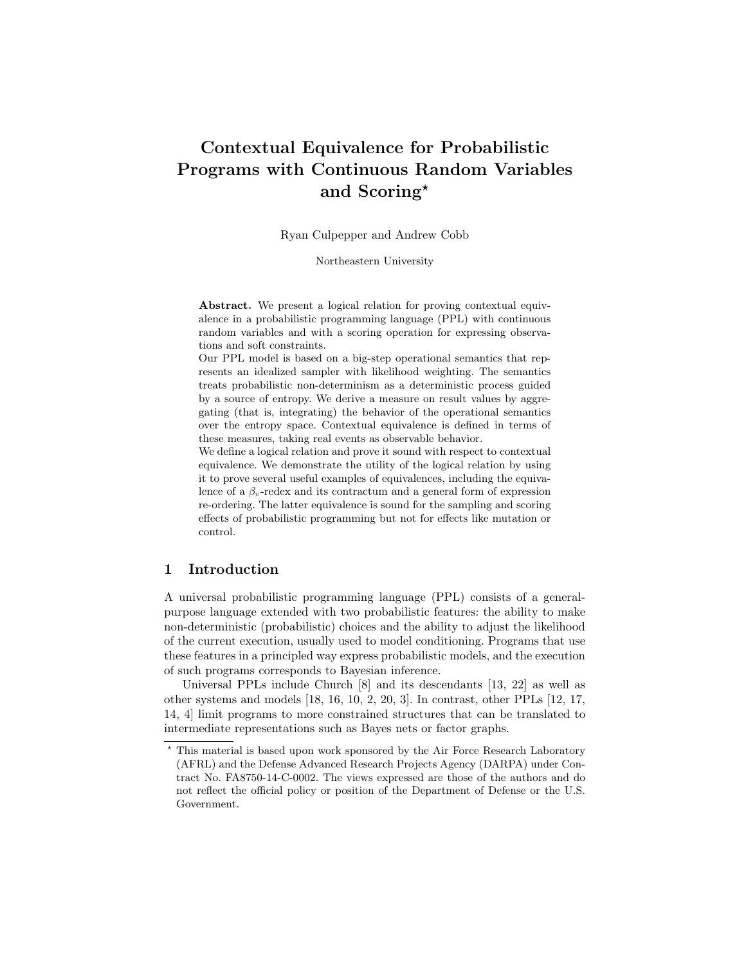# Contextual Equivalence for Probabilistic Programs with Continuous Random Variables and Scoring<sup>\*</sup>

Ryan Culpepper and Andrew Cobb

Northeastern University

Abstract. We present a logical relation for proving contextual equivalence in a probabilistic programming language (PPL) with continuous random variables and with a scoring operation for expressing observations and soft constraints.

Our PPL model is based on a big-step operational semantics that represents an idealized sampler with likelihood weighting. The semantics treats probabilistic non-determinism as a deterministic process guided by a source of entropy. We derive a measure on result values by aggregating (that is, integrating) the behavior of the operational semantics over the entropy space. Contextual equivalence is defined in terms of these measures, taking real events as observable behavior.

We define a logical relation and prove it sound with respect to contextual equivalence. We demonstrate the utility of the logical relation by using it to prove several useful examples of equivalences, including the equivalence of a  $\beta_v$ -redex and its contractum and a general form of expression re-ordering. The latter equivalence is sound for the sampling and scoring effects of probabilistic programming but not for effects like mutation or control.

### 1 Introduction

A universal probabilistic programming language (PPL) consists of a generalpurpose language extended with two probabilistic features: the ability to make non-deterministic (probabilistic) choices and the ability to adjust the likelihood of the current execution, usually used to model conditioning. Programs that use these features in a principled way express probabilistic models, and the execution of such programs corresponds to Bayesian inference.

Universal PPLs include Church [8] and its descendants [13, 22] as well as other systems and models [18, 16, 10, 2, 20, 3]. In contrast, other PPLs [12, 17, 14, 4] limit programs to more constrained structures that can be translated to intermediate representations such as Bayes nets or factor graphs.

<sup>?</sup> This material is based upon work sponsored by the Air Force Research Laboratory (AFRL) and the Defense Advanced Research Projects Agency (DARPA) under Contract No. FA8750-14-C-0002. The views expressed are those of the authors and do not reflect the official policy or position of the Department of Defense or the U.S. Government.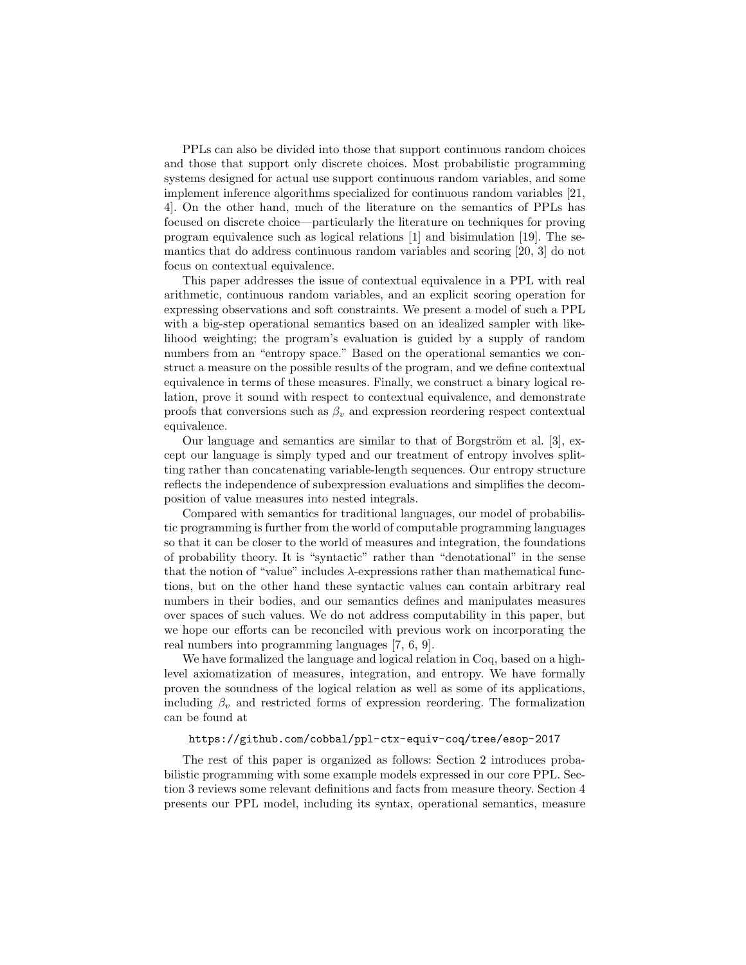PPLs can also be divided into those that support continuous random choices and those that support only discrete choices. Most probabilistic programming systems designed for actual use support continuous random variables, and some implement inference algorithms specialized for continuous random variables [21, 4]. On the other hand, much of the literature on the semantics of PPLs has focused on discrete choice—particularly the literature on techniques for proving program equivalence such as logical relations [1] and bisimulation [19]. The semantics that do address continuous random variables and scoring [20, 3] do not focus on contextual equivalence.

This paper addresses the issue of contextual equivalence in a PPL with real arithmetic, continuous random variables, and an explicit scoring operation for expressing observations and soft constraints. We present a model of such a PPL with a big-step operational semantics based on an idealized sampler with likelihood weighting; the program's evaluation is guided by a supply of random numbers from an "entropy space." Based on the operational semantics we construct a measure on the possible results of the program, and we define contextual equivalence in terms of these measures. Finally, we construct a binary logical relation, prove it sound with respect to contextual equivalence, and demonstrate proofs that conversions such as  $\beta_v$  and expression reordering respect contextual equivalence.

Our language and semantics are similar to that of Borgström et al.  $[3]$ , except our language is simply typed and our treatment of entropy involves splitting rather than concatenating variable-length sequences. Our entropy structure reflects the independence of subexpression evaluations and simplifies the decomposition of value measures into nested integrals.

Compared with semantics for traditional languages, our model of probabilistic programming is further from the world of computable programming languages so that it can be closer to the world of measures and integration, the foundations of probability theory. It is "syntactic" rather than "denotational" in the sense that the notion of "value" includes  $\lambda$ -expressions rather than mathematical functions, but on the other hand these syntactic values can contain arbitrary real numbers in their bodies, and our semantics defines and manipulates measures over spaces of such values. We do not address computability in this paper, but we hope our efforts can be reconciled with previous work on incorporating the real numbers into programming languages [7, 6, 9].

We have formalized the language and logical relation in Coq, based on a highlevel axiomatization of measures, integration, and entropy. We have formally proven the soundness of the logical relation as well as some of its applications, including  $\beta_v$  and restricted forms of expression reordering. The formalization can be found at

### https://github.com/cobbal/ppl-ctx-equiv-coq/tree/esop-2017

The rest of this paper is organized as follows: Section 2 introduces probabilistic programming with some example models expressed in our core PPL. Section 3 reviews some relevant definitions and facts from measure theory. Section 4 presents our PPL model, including its syntax, operational semantics, measure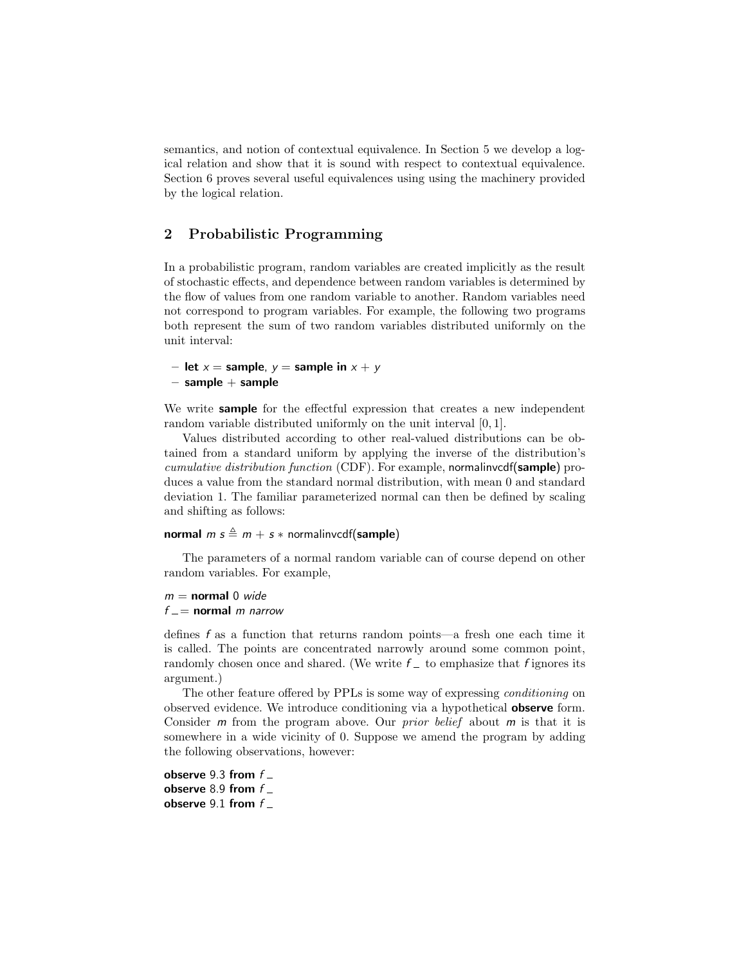semantics, and notion of contextual equivalence. In Section 5 we develop a logical relation and show that it is sound with respect to contextual equivalence. Section 6 proves several useful equivalences using using the machinery provided by the logical relation.

### 2 Probabilistic Programming

In a probabilistic program, random variables are created implicitly as the result of stochastic effects, and dependence between random variables is determined by the flow of values from one random variable to another. Random variables need not correspond to program variables. For example, the following two programs both represent the sum of two random variables distributed uniformly on the unit interval:

– let  $x =$  sample,  $y =$  sample in  $x + y$  $-$  sample  $+$  sample

We write **sample** for the effectful expression that creates a new independent random variable distributed uniformly on the unit interval [0, 1].

Values distributed according to other real-valued distributions can be obtained from a standard uniform by applying the inverse of the distribution's cumulative distribution function (CDF). For example, normalinvcdf(sample) produces a value from the standard normal distribution, with mean 0 and standard deviation 1. The familiar parameterized normal can then be defined by scaling and shifting as follows:

### normal  $m s \triangleq m + s *$  normalinvcdf(sample)

The parameters of a normal random variable can of course depend on other random variables. For example,

### $m =$  normal 0 wide  $f =$  normal *m* narrow

defines  $f$  as a function that returns random points—a fresh one each time it is called. The points are concentrated narrowly around some common point, randomly chosen once and shared. (We write  $f_{-}$  to emphasize that f ignores its argument.)

The other feature offered by PPLs is some way of expressing conditioning on observed evidence. We introduce conditioning via a hypothetical observe form. Consider  $m$  from the program above. Our *prior belief* about  $m$  is that it is somewhere in a wide vicinity of 0. Suppose we amend the program by adding the following observations, however:

```
observe 9.3 from f_{-}observe 8.9 from f_{-}observe 9.1 from f_{-}
```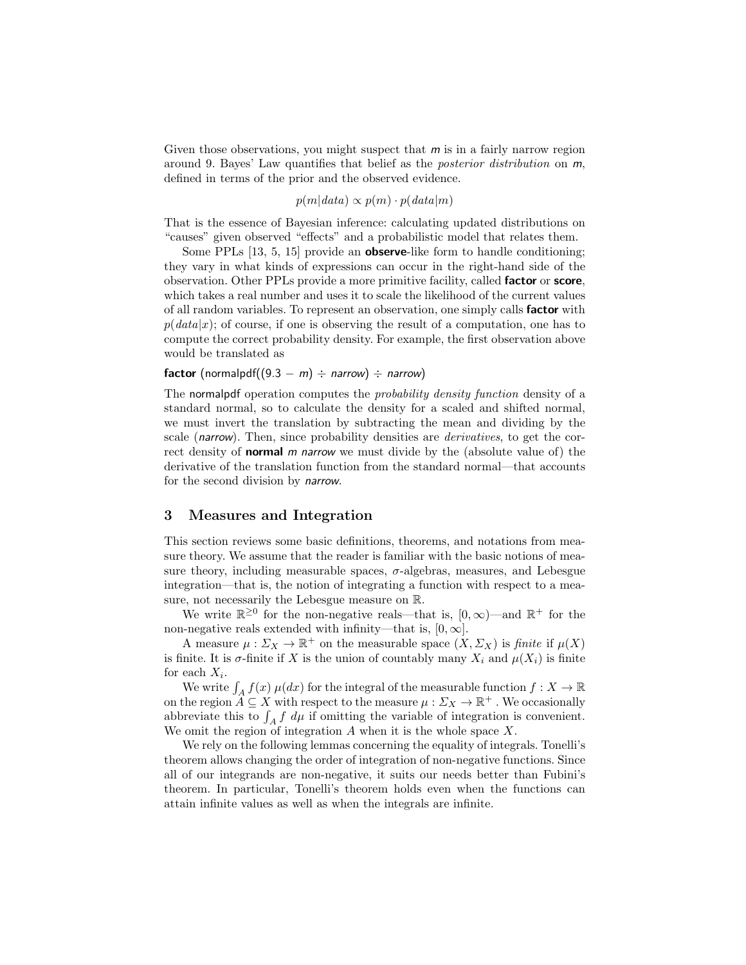Given those observations, you might suspect that  $m$  is in a fairly narrow region around 9. Bayes' Law quantifies that belief as the posterior distribution on m, defined in terms of the prior and the observed evidence.

### $p(m|data) \propto p(m) \cdot p(data|m)$

That is the essence of Bayesian inference: calculating updated distributions on "causes" given observed "effects" and a probabilistic model that relates them.

Some PPLs [13, 5, 15] provide an **observe**-like form to handle conditioning; they vary in what kinds of expressions can occur in the right-hand side of the observation. Other PPLs provide a more primitive facility, called factor or score, which takes a real number and uses it to scale the likelihood of the current values of all random variables. To represent an observation, one simply calls factor with  $p(data|x)$ ; of course, if one is observing the result of a computation, one has to compute the correct probability density. For example, the first observation above would be translated as

#### **factor** (normalpdf( $(9.3 - m) \div$  narrow)  $\div$  narrow)

The normalpdf operation computes the *probability density function* density of a standard normal, so to calculate the density for a scaled and shifted normal, we must invert the translation by subtracting the mean and dividing by the scale (narrow). Then, since probability densities are derivatives, to get the correct density of **normal** m narrow we must divide by the (absolute value of) the derivative of the translation function from the standard normal—that accounts for the second division by narrow.

### 3 Measures and Integration

This section reviews some basic definitions, theorems, and notations from measure theory. We assume that the reader is familiar with the basic notions of measure theory, including measurable spaces,  $\sigma$ -algebras, measures, and Lebesgue integration—that is, the notion of integrating a function with respect to a measure, not necessarily the Lebesgue measure on R.

We write  $\mathbb{R}^{\geq 0}$  for the non-negative reals—that is,  $[0, \infty)$ —and  $\mathbb{R}^+$  for the non-negative reals extended with infinity—that is,  $[0, \infty]$ .

A measure  $\mu : \Sigma_X \to \mathbb{R}^+$  on the measurable space  $(X, \Sigma_X)$  is finite if  $\mu(X)$ is finite. It is  $\sigma$ -finite if X is the union of countably many  $X_i$  and  $\mu(X_i)$  is finite for each  $X_i$ .

We write  $\int_A f(x) \mu(dx)$  for the integral of the measurable function  $f: X \to \mathbb{R}$ on the region  $A \subseteq X$  with respect to the measure  $\mu : \Sigma_X \to \mathbb{R}^+$  . We occasionally abbreviate this to  $\int_A f \, d\mu$  if omitting the variable of integration is convenient. We omit the region of integration  $A$  when it is the whole space  $X$ .

We rely on the following lemmas concerning the equality of integrals. Tonelli's theorem allows changing the order of integration of non-negative functions. Since all of our integrands are non-negative, it suits our needs better than Fubini's theorem. In particular, Tonelli's theorem holds even when the functions can attain infinite values as well as when the integrals are infinite.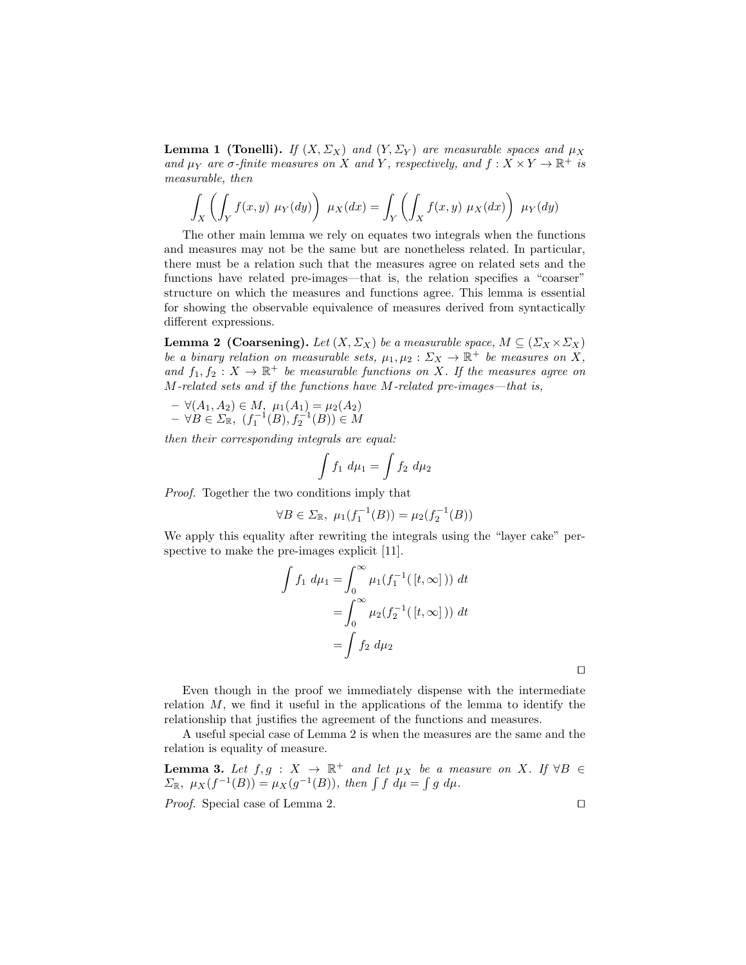**Lemma 1 (Tonelli).** If  $(X, \Sigma_X)$  and  $(Y, \Sigma_Y)$  are measurable spaces and  $\mu_X$ and  $\mu_Y$  are  $\sigma$ -finite measures on X and Y, respectively, and  $f: X \times Y \to \mathbb{R}^+$  is measurable, then

$$
\int_X \left( \int_Y f(x, y) \ \mu_Y(dy) \right) \ \mu_X(dx) = \int_Y \left( \int_X f(x, y) \ \mu_X(dx) \right) \ \mu_Y(dy)
$$

The other main lemma we rely on equates two integrals when the functions and measures may not be the same but are nonetheless related. In particular, there must be a relation such that the measures agree on related sets and the functions have related pre-images—that is, the relation specifies a "coarser" structure on which the measures and functions agree. This lemma is essential for showing the observable equivalence of measures derived from syntactically different expressions.

**Lemma 2 (Coarsening).** Let  $(X, \Sigma_X)$  be a measurable space,  $M \subseteq (\Sigma_X \times \Sigma_X)$ be a binary relation on measurable sets,  $\mu_1, \mu_2 : \Sigma_X \to \mathbb{R}^+$  be measures on X, and  $f_1, f_2 : X \to \mathbb{R}^+$  be measurable functions on X. If the measures agree on  $M$ -related sets and if the functions have  $M$ -related pre-images—that is,

 $- \forall (A_1, A_2) \in M, \mu_1(A_1) = \mu_2(A_2)$  $- \forall B \in \Sigma \mathbb{R}, \ (f_1^{-1}(B), f_2^{-1}(B)) \in M$ 

then their corresponding integrals are equal:

$$
\int f_1 \ d\mu_1 = \int f_2 \ d\mu_2
$$

Proof. Together the two conditions imply that

$$
\forall B \in \Sigma_{\mathbb{R}}, \ \mu_1(f_1^{-1}(B)) = \mu_2(f_2^{-1}(B))
$$

We apply this equality after rewriting the integrals using the "layer cake" perspective to make the pre-images explicit [11].

$$
\int f_1 d\mu_1 = \int_0^\infty \mu_1(f_1^{-1}([t,\infty])) dt
$$

$$
= \int_0^\infty \mu_2(f_2^{-1}([t,\infty])) dt
$$

$$
= \int f_2 d\mu_2
$$

Even though in the proof we immediately dispense with the intermediate relation  $M$ , we find it useful in the applications of the lemma to identify the relationship that justifies the agreement of the functions and measures.

A useful special case of Lemma 2 is when the measures are the same and the relation is equality of measure.

**Lemma 3.** Let  $f, g : X \to \mathbb{R}^+$  and let  $\mu_X$  be a measure on X. If  $\forall B \in \mathbb{R}$  $\Sigma_{\mathbb{R}}$ ,  $\mu_X(f^{-1}(B)) = \mu_X(g^{-1}(B))$ , then  $\int f d\mu = \int g d\mu$ . *Proof.* Special case of Lemma 2.  $\Box$ 

 $\Box$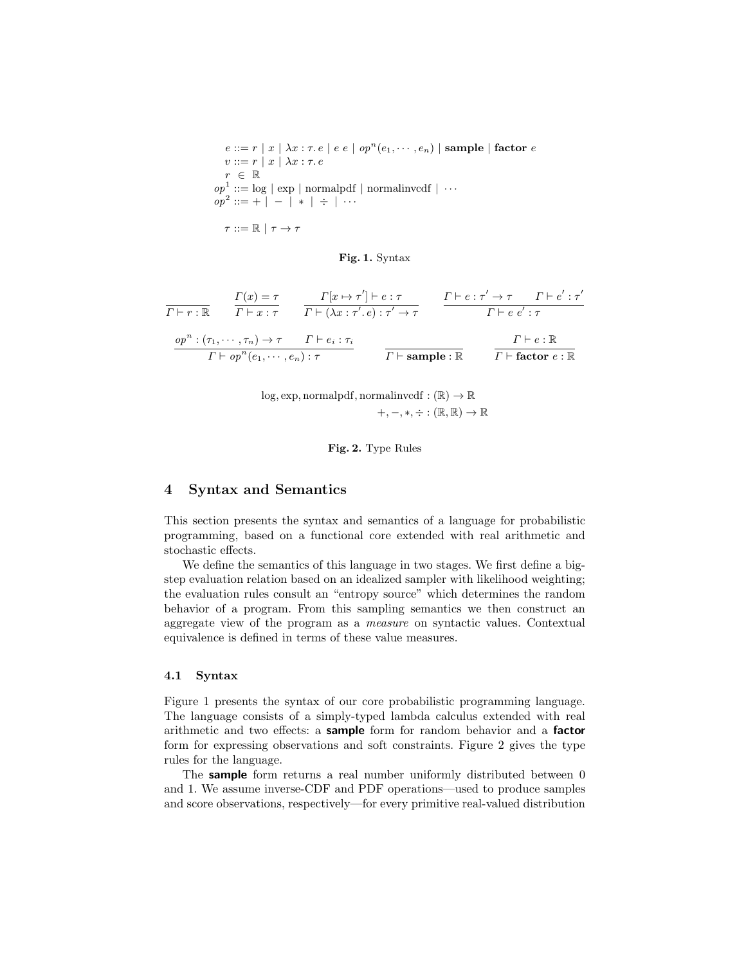$$
e ::= r | x | \lambda x : \tau. e | e e | op^n(e_1, \dots, e_n) | sample | factor e
$$
  
\n
$$
v ::= r | x | \lambda x : \tau. e
$$
  
\n
$$
r \in \mathbb{R}
$$
  
\n
$$
op^1 ::= \log | exp | normalpdf | normalinvcdf | \dots
$$
  
\n
$$
op^2 ::= + | - | * | \div | \dots
$$
  
\n
$$
\tau ::= \mathbb{R} | \tau \rightarrow \tau
$$

Fig. 1. Syntax

$$
\frac{\Gamma(x) = \tau}{\Gamma \vdash r : \mathbb{R}} \quad \frac{\Gamma(x) = \tau}{\Gamma \vdash x : \tau} \quad \frac{\Gamma[x \mapsto \tau'] \vdash e : \tau}{\Gamma \vdash (\lambda x : \tau'.e) : \tau' \to \tau} \quad \frac{\Gamma \vdash e : \tau' \to \tau \quad \Gamma \vdash e' : \tau'}{\Gamma \vdash e : \tau}
$$
\n
$$
\frac{op^n : (\tau_1, \dots, \tau_n) \to \tau \quad \Gamma \vdash e_i : \tau_i}{\Gamma \vdash op^n(e_1, \dots, e_n) : \tau} \quad \frac{\Gamma \vdash e : \mathbb{R}}{\Gamma \vdash \text{sample} : \mathbb{R}} \quad \frac{\Gamma \vdash e : \mathbb{R}}{\Gamma \vdash \text{factor } e : \mathbb{R}}
$$

 $log, exp, normalpdf, normalinvcdf : (\mathbb{R}) \to \mathbb{R}$  $+, -, *, \div : (\mathbb{R}, \mathbb{R}) \to \mathbb{R}$ 

Fig. 2. Type Rules

### 4 Syntax and Semantics

This section presents the syntax and semantics of a language for probabilistic programming, based on a functional core extended with real arithmetic and stochastic effects.

We define the semantics of this language in two stages. We first define a bigstep evaluation relation based on an idealized sampler with likelihood weighting; the evaluation rules consult an "entropy source" which determines the random behavior of a program. From this sampling semantics we then construct an aggregate view of the program as a measure on syntactic values. Contextual equivalence is defined in terms of these value measures.

### 4.1 Syntax

Figure 1 presents the syntax of our core probabilistic programming language. The language consists of a simply-typed lambda calculus extended with real arithmetic and two effects: a sample form for random behavior and a factor form for expressing observations and soft constraints. Figure 2 gives the type rules for the language.

The **sample** form returns a real number uniformly distributed between 0 and 1. We assume inverse-CDF and PDF operations—used to produce samples and score observations, respectively—for every primitive real-valued distribution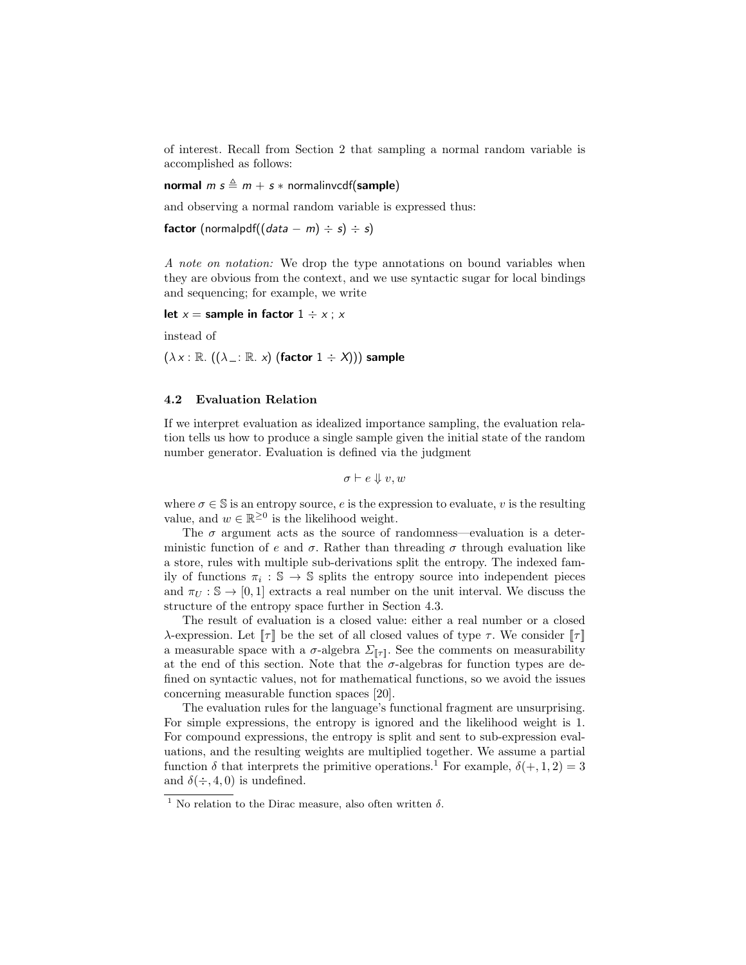of interest. Recall from Section 2 that sampling a normal random variable is accomplished as follows:

normal  $m s \triangleq m + s *$  normalinvcdf(sample)

and observing a normal random variable is expressed thus:

factor (normalpdf( $(data - m) \div s$ )  $\div s$ )

A note on notation: We drop the type annotations on bound variables when they are obvious from the context, and we use syntactic sugar for local bindings and sequencing; for example, we write

let  $x =$  sample in factor  $1 \div x$ ; x

instead of

 $(\lambda x : \mathbb{R}$ .  $((\lambda_{-}: \mathbb{R} \cdot x)$  (factor  $1 \div X)$ ) sample

### 4.2 Evaluation Relation

If we interpret evaluation as idealized importance sampling, the evaluation relation tells us how to produce a single sample given the initial state of the random number generator. Evaluation is defined via the judgment

$$
\sigma \vdash e \Downarrow v, w
$$

where  $\sigma \in \mathbb{S}$  is an entropy source, e is the expression to evaluate, v is the resulting value, and  $w \in \mathbb{R}^{\geq 0}$  is the likelihood weight.

The  $\sigma$  argument acts as the source of randomness—evaluation is a deterministic function of e and  $\sigma$ . Rather than threading  $\sigma$  through evaluation like a store, rules with multiple sub-derivations split the entropy. The indexed family of functions  $\pi_i : \mathbb{S} \to \mathbb{S}$  splits the entropy source into independent pieces and  $\pi_U : \mathbb{S} \to [0,1]$  extracts a real number on the unit interval. We discuss the structure of the entropy space further in Section 4.3.

The result of evaluation is a closed value: either a real number or a closed λ-expression. Let  $\llbracket \tau \rrbracket$  be the set of all closed values of type  $\tau$ . We consider  $\llbracket \tau \rrbracket$ a measurable space with a  $\sigma$ -algebra  $\Sigma_{[\tau]}$ . See the comments on measurability at the end of this section. Note that the  $\sigma$ -algebras for function types are defined on syntactic values, not for mathematical functions, so we avoid the issues concerning measurable function spaces [20].

The evaluation rules for the language's functional fragment are unsurprising. For simple expressions, the entropy is ignored and the likelihood weight is 1. For compound expressions, the entropy is split and sent to sub-expression evaluations, and the resulting weights are multiplied together. We assume a partial function  $\delta$  that interprets the primitive operations.<sup>1</sup> For example,  $\delta(+,1,2) = 3$ and  $\delta(\div, 4, 0)$  is undefined.

<sup>&</sup>lt;sup>1</sup> No relation to the Dirac measure, also often written  $\delta$ .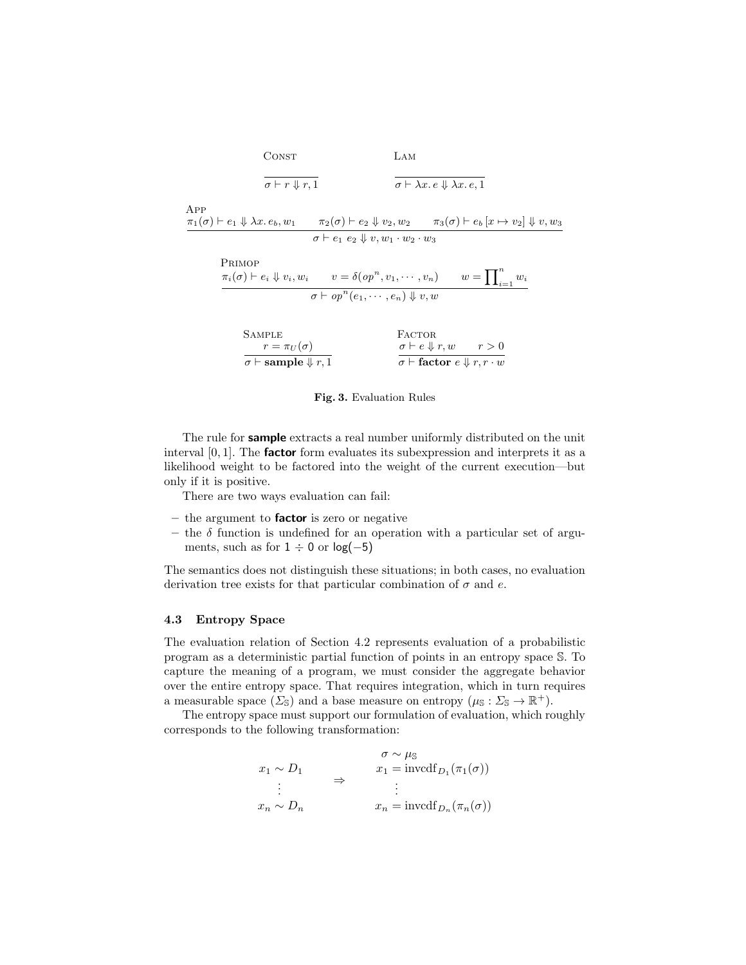**CONST** 

Lam

$$
\overline{\sigma \vdash r \Downarrow r, 1} \qquad \qquad \overline{\sigma \vdash \lambda x. e \Downarrow \lambda x. e, 1}
$$

App  $\pi_1(\sigma) \vdash e_1 \Downarrow \lambda x.\, e_b, w_1 \qquad \pi_2(\sigma) \vdash e_2 \Downarrow v_2, w_2 \qquad \pi_3(\sigma) \vdash e_b \: [x \mapsto v_2] \Downarrow v, w_3$  $\sigma \vdash e_1\; e_2 \Downarrow v, w_1\cdot w_2\cdot w_3$ 

| <b>PRIMOP</b><br>$\pi_i(\sigma) \vdash e_i \Downarrow v_i, w_i$ | $v = \delta(op^n, v_1, \cdots, v_n) \qquad w = \prod\nolimits_{i=1}^n w_i$ |  |
|-----------------------------------------------------------------|----------------------------------------------------------------------------|--|
|                                                                 | $\sigma \vdash op^n(e_1, \dots, e_n) \Downarrow v, w$                      |  |

| <b>SAMPLE</b>                            | <b>FACTOR</b>                                      |
|------------------------------------------|----------------------------------------------------|
| $r = \pi_U(\sigma)$                      | $\sigma \vdash e \Downarrow r, w$<br>r > 0         |
| $\sigma \vdash$ sample $\Downarrow r, 1$ | $\sigma \vdash$ factor $e \Downarrow r, r \cdot w$ |



The rule for **sample** extracts a real number uniformly distributed on the unit interval  $[0, 1]$ . The **factor** form evaluates its subexpression and interprets it as a likelihood weight to be factored into the weight of the current execution—but only if it is positive.

There are two ways evaluation can fail:

- the argument to **factor** is zero or negative
- the  $\delta$  function is undefined for an operation with a particular set of arguments, such as for  $1 \div 0$  or  $log(-5)$

The semantics does not distinguish these situations; in both cases, no evaluation derivation tree exists for that particular combination of  $\sigma$  and  $e$ .

### 4.3 Entropy Space

The evaluation relation of Section 4.2 represents evaluation of a probabilistic program as a deterministic partial function of points in an entropy space S. To capture the meaning of a program, we must consider the aggregate behavior over the entire entropy space. That requires integration, which in turn requires a measurable space  $(\Sigma_{\mathbb{S}})$  and a base measure on entropy  $(\mu_{\mathbb{S}} : \Sigma_{\mathbb{S}} \to \mathbb{R}^+)$ .

The entropy space must support our formulation of evaluation, which roughly corresponds to the following transformation:

$$
x_1 \sim D_1
$$
  
\n
$$
\Rightarrow \qquad x_1 = \text{invedf}_{D_1}(\pi_1(\sigma))
$$
  
\n
$$
\Rightarrow \qquad x_n = \text{invedf}_{D_n}(\pi_n(\sigma))
$$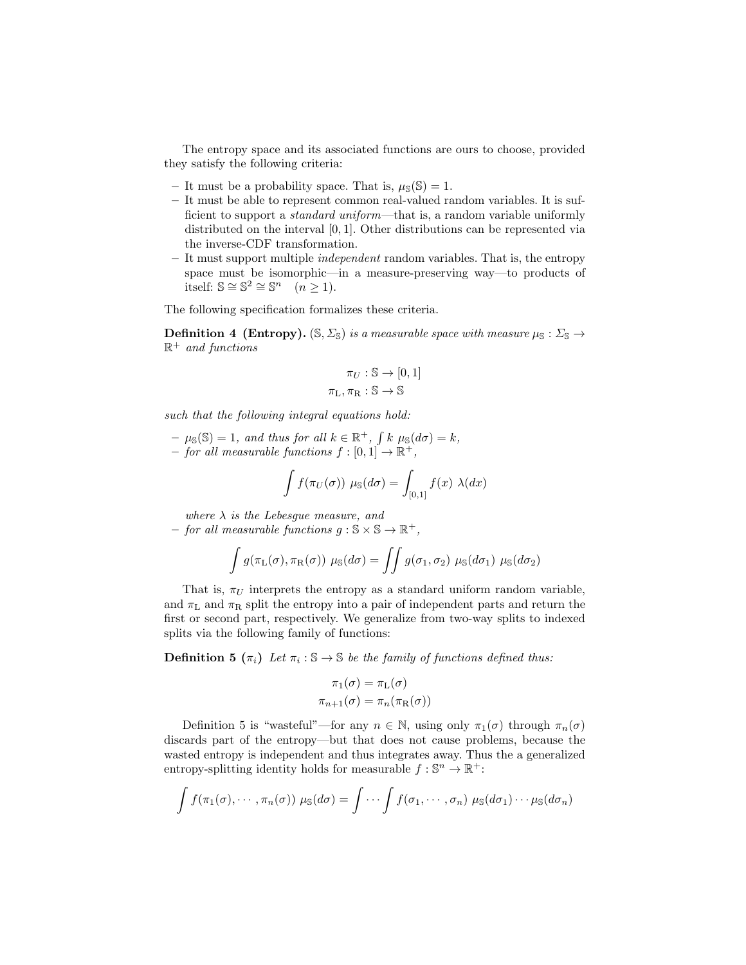The entropy space and its associated functions are ours to choose, provided they satisfy the following criteria:

- It must be a probability space. That is,  $\mu_{\mathbb{S}}(\mathbb{S}) = 1$ .
- It must be able to represent common real-valued random variables. It is sufficient to support a *standard uniform*—that is, a random variable uniformly distributed on the interval [0, 1]. Other distributions can be represented via the inverse-CDF transformation.
- It must support multiple independent random variables. That is, the entropy space must be isomorphic—in a measure-preserving way—to products of itself:  $\mathbb{S} \cong \mathbb{S}^2 \cong \mathbb{S}^n \quad (n \geq 1).$

The following specification formalizes these criteria.

**Definition 4 (Entropy).** (S,  $\Sigma$ <sub>S</sub>) is a measurable space with measure  $\mu$ <sub>S</sub> :  $\Sigma$ <sub>S</sub>  $\rightarrow$  $\mathbb{R}^+$  and functions

$$
\pi_U : \mathbb{S} \to [0, 1]
$$

$$
\pi_L, \pi_R : \mathbb{S} \to \mathbb{S}
$$

such that the following integral equations hold:

 $- \mu_{\mathbb{S}}(\mathbb{S}) = 1$ , and thus for all  $k \in \mathbb{R}^+$ ,  $\int k \mu_{\mathbb{S}}(d\sigma) = k$ ,  $-$  for all measurable functions  $f : [0,1] \rightarrow \mathbb{R}^+,$ 

$$
\int f(\pi_U(\sigma)) \mu_{\mathbb{S}}(d\sigma) = \int_{[0,1]} f(x) \lambda(dx)
$$

where  $\lambda$  is the Lebesque measure, and

 $-$  for all measurable functions  $g : \mathbb{S} \times \mathbb{S} \to \mathbb{R}^+$ ,

$$
\int g(\pi_{\rm L}(\sigma), \pi_{\rm R}(\sigma)) \mu_{\rm S}(d\sigma) = \iint g(\sigma_1, \sigma_2) \mu_{\rm S}(d\sigma_1) \mu_{\rm S}(d\sigma_2)
$$

That is,  $\pi_U$  interprets the entropy as a standard uniform random variable, and  $\pi_{\text{L}}$  and  $\pi_{\text{R}}$  split the entropy into a pair of independent parts and return the first or second part, respectively. We generalize from two-way splits to indexed splits via the following family of functions:

**Definition 5**  $(\pi_i)$  Let  $\pi_i : \mathbb{S} \to \mathbb{S}$  be the family of functions defined thus:

$$
\pi_1(\sigma) = \pi_{\mathcal{L}}(\sigma)
$$

$$
\pi_{n+1}(\sigma) = \pi_n(\pi_{\mathcal{R}}(\sigma))
$$

Definition 5 is "wasteful"—for any  $n \in \mathbb{N}$ , using only  $\pi_1(\sigma)$  through  $\pi_n(\sigma)$ discards part of the entropy—but that does not cause problems, because the wasted entropy is independent and thus integrates away. Thus the a generalized entropy-splitting identity holds for measurable  $f : \mathbb{S}^n \to \mathbb{R}^+$ :

$$
\int f(\pi_1(\sigma),\cdots,\pi_n(\sigma)) \mu_{\mathbb{S}}(d\sigma) = \int \cdots \int f(\sigma_1,\cdots,\sigma_n) \mu_{\mathbb{S}}(d\sigma_1)\cdots\mu_{\mathbb{S}}(d\sigma_n)
$$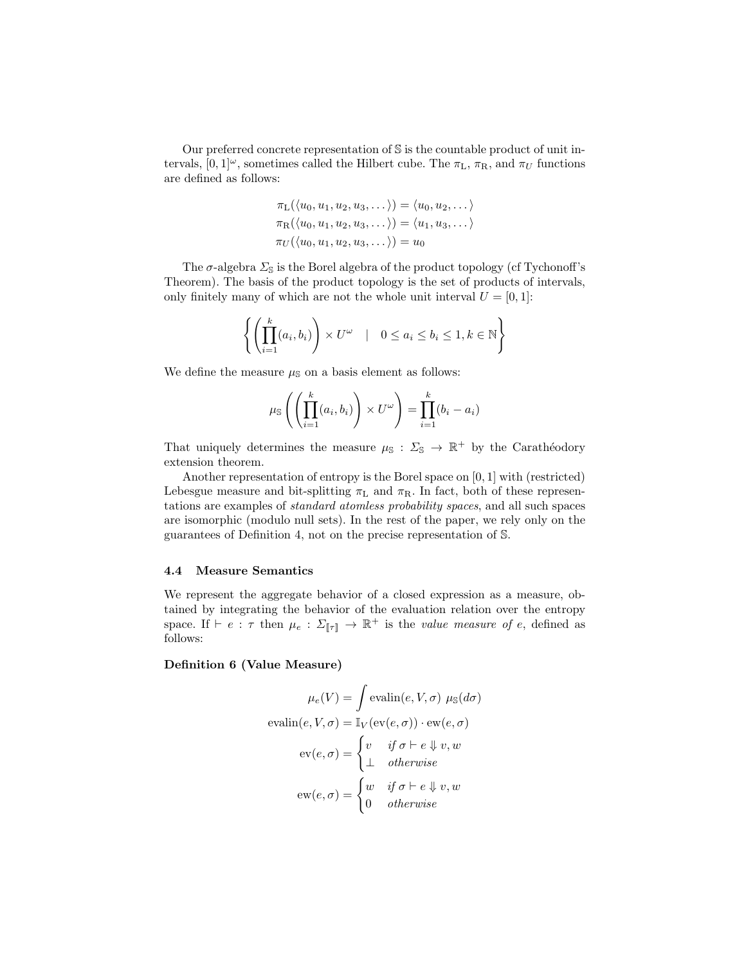Our preferred concrete representation of S is the countable product of unit intervals,  $[0,1]^\omega$ , sometimes called the Hilbert cube. The  $\pi_L$ ,  $\pi_R$ , and  $\pi_U$  functions are defined as follows:

$$
\pi_{\mathcal{L}}(\langle u_0, u_1, u_2, u_3, \dots \rangle) = \langle u_0, u_2, \dots \rangle
$$
  

$$
\pi_{\mathcal{R}}(\langle u_0, u_1, u_2, u_3, \dots \rangle) = \langle u_1, u_3, \dots \rangle
$$
  

$$
\pi_{\mathcal{U}}(\langle u_0, u_1, u_2, u_3, \dots \rangle) = u_0
$$

The  $\sigma$ -algebra  $\Sigma_{\mathbb{S}}$  is the Borel algebra of the product topology (cf Tychonoff's Theorem). The basis of the product topology is the set of products of intervals, only finitely many of which are not the whole unit interval  $U = [0, 1]$ :

$$
\left\{ \left( \prod_{i=1}^k (a_i, b_i) \right) \times U^{\omega} \mid 0 \le a_i \le b_i \le 1, k \in \mathbb{N} \right\}
$$

We define the measure  $\mu_{\mathbb{S}}$  on a basis element as follows:

$$
\mu_{\mathbb{S}}\left(\left(\prod_{i=1}^{k}(a_i,b_i)\right)\times U^{\omega}\right)=\prod_{i=1}^{k}(b_i-a_i)
$$

That uniquely determines the measure  $\mu_{\mathbb{S}} : \Sigma_{\mathbb{S}} \to \mathbb{R}^+$  by the Carathéodory extension theorem.

Another representation of entropy is the Borel space on [0, 1] with (restricted) Lebesgue measure and bit-splitting  $\pi_{\text{L}}$  and  $\pi_{\text{R}}$ . In fact, both of these representations are examples of standard atomless probability spaces, and all such spaces are isomorphic (modulo null sets). In the rest of the paper, we rely only on the guarantees of Definition 4, not on the precise representation of S.

#### 4.4 Measure Semantics

We represent the aggregate behavior of a closed expression as a measure, obtained by integrating the behavior of the evaluation relation over the entropy space. If  $\vdash e : \tau$  then  $\mu_e : \Sigma_{\llbracket \tau \rrbracket} \to \mathbb{R}^+$  is the value measure of e, defined as follows:

#### Definition 6 (Value Measure)

$$
\mu_e(V) = \int \text{evalin}(e, V, \sigma) \ \mu_{\mathbb{S}}(d\sigma)
$$

$$
\text{evalin}(e, V, \sigma) = \mathbb{I}_V(\text{ev}(e, \sigma)) \cdot \text{ew}(e, \sigma)
$$

$$
\text{ev}(e, \sigma) = \begin{cases} v & \text{if } \sigma \vdash e \Downarrow v, w \\ \bot & \text{otherwise} \end{cases}
$$

$$
\text{ew}(e, \sigma) = \begin{cases} w & \text{if } \sigma \vdash e \Downarrow v, w \\ 0 & \text{otherwise} \end{cases}
$$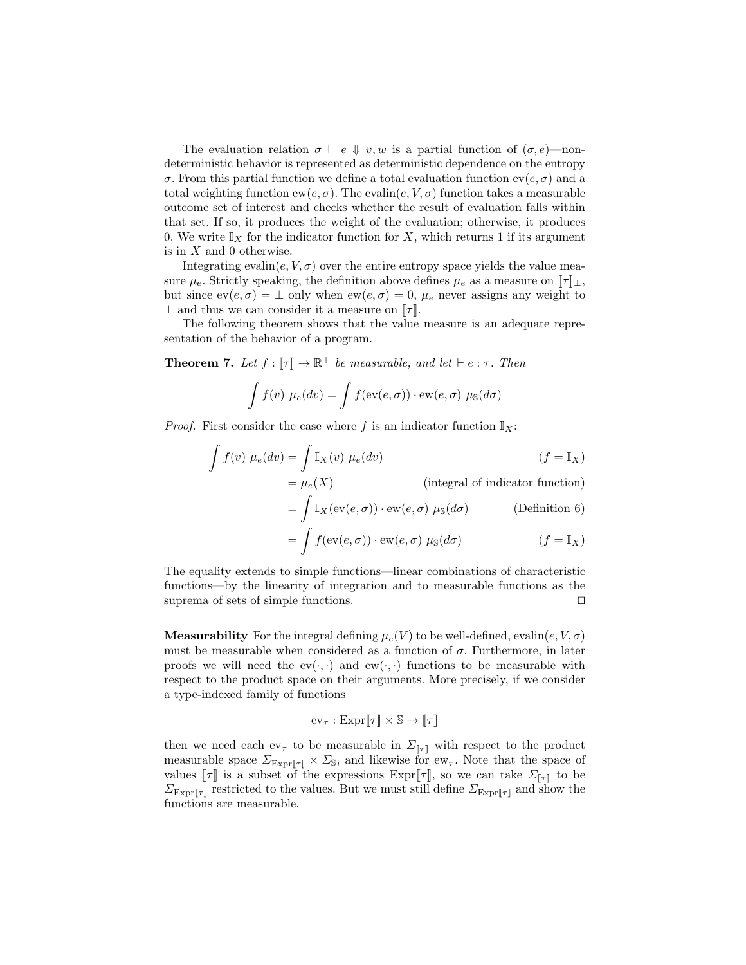The evaluation relation  $\sigma \vdash e \Downarrow v, w$  is a partial function of  $(\sigma, e)$ —nondeterministic behavior is represented as deterministic dependence on the entropy σ. From this partial function we define a total evaluation function ev(e, σ) and a total weighting function  $ew(e, \sigma)$ . The evalin $(e, V, \sigma)$  function takes a measurable outcome set of interest and checks whether the result of evaluation falls within that set. If so, it produces the weight of the evaluation; otherwise, it produces 0. We write  $\mathbb{I}_X$  for the indicator function for X, which returns 1 if its argument is in  $X$  and 0 otherwise.

Integrating evalin $(e, V, \sigma)$  over the entire entropy space yields the value measure  $\mu_e$ . Strictly speaking, the definition above defines  $\mu_e$  as a measure on  $[\![\tau]\!]_\perp$ , but since  $ev(e, \sigma) = \bot$  only when  $ew(e, \sigma) = 0$ ,  $\mu_e$  never assigns any weight to  $\perp$  and thus we can consider it a measure on  $\llbracket \tau \rrbracket$ .

The following theorem shows that the value measure is an adequate representation of the behavior of a program.

**Theorem 7.** Let  $f : [\tau] \to \mathbb{R}^+$  be measurable, and let  $\vdash e : \tau$ . Then

$$
\int f(v) \mu_e(dv) = \int f(\mathrm{ev}(e,\sigma)) \cdot \mathrm{ew}(e,\sigma) \mu_{\mathbb{S}}(d\sigma)
$$

*Proof.* First consider the case where f is an indicator function  $\mathbb{I}_X$ :

$$
\int f(v) \ \mu_e(dv) = \int \mathbb{I}_X(v) \ \mu_e(dv) \tag{f = \mathbb{I}_X}
$$

 $=\mu_e(X)$  (integral of indicator function)

$$
= \int \mathbb{I}_X(\mathrm{ev}(e,\sigma)) \cdot \mathrm{ew}(e,\sigma) \mu_\mathbb{S}(d\sigma) \qquad \text{(Definition 6)}
$$

$$
= \int f(\mathrm{ev}(e,\sigma)) \cdot \mathrm{ew}(e,\sigma) \mu_{\mathbb{S}}(d\sigma) \qquad (f = \mathbb{I}_X)
$$

The equality extends to simple functions—linear combinations of characteristic functions—by the linearity of integration and to measurable functions as the suprema of sets of simple functions.  $\Box$ 

**Measurability** For the integral defining  $\mu_e(V)$  to be well-defined, evalin $(e, V, \sigma)$ must be measurable when considered as a function of  $\sigma$ . Furthermore, in later proofs we will need the  $ev(\cdot, \cdot)$  and  $ew(\cdot, \cdot)$  functions to be measurable with respect to the product space on their arguments. More precisely, if we consider a type-indexed family of functions

$$
\mathrm{ev}_\tau:\mathrm{Expr}\llbracket\tau\rrbracket\times\mathbb{S}\to\llbracket\tau\rrbracket
$$

then we need each  $ev_{\tau}$  to be measurable in  $\Sigma_{\llbracket \tau \rrbracket}$  with respect to the product measurable space  $\Sigma_{\text{Expr}[\![\tau]\!]} \times \Sigma_{\mathbb{S}}$ , and likewise for ew<sub> $\tau$ </sub>. Note that the space of values  $[\![\tau]\!]$  is a subset of the expressions  $\text{Expr}[\![\tau]\!]$ , so we can take  $\Sigma_{[\![\tau]\!]}$  to be  $\Sigma_{\text{Expr}[\![\tau]\!]}$  restricted to the values. But we must still define  $\Sigma_{\text{Expr}[\![\tau]\!]}$  and show the functions are measurable.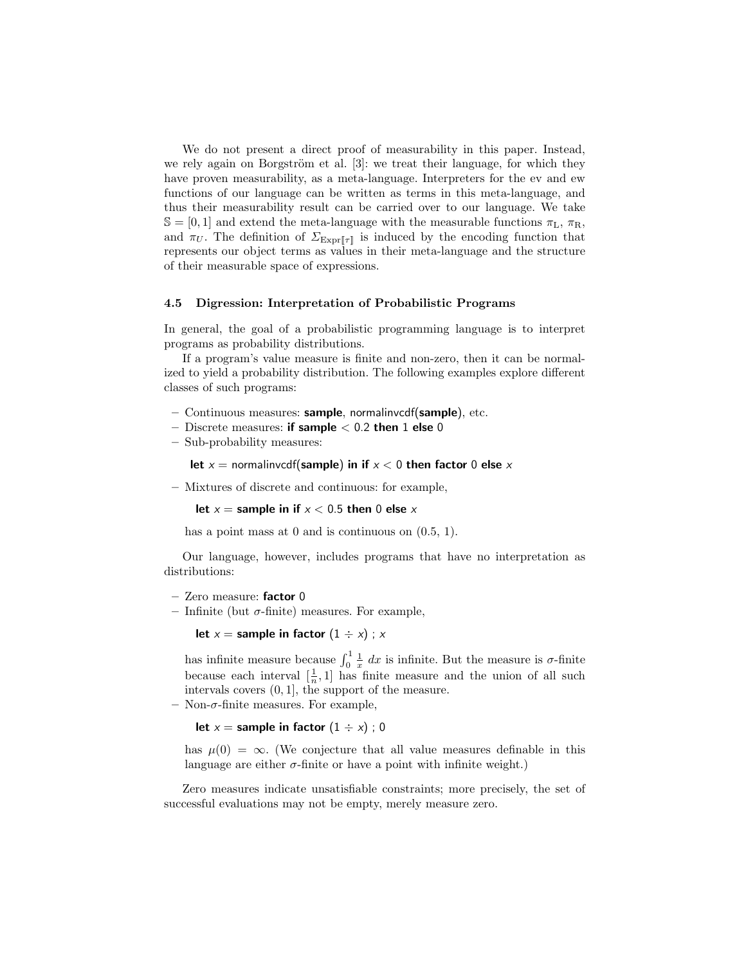We do not present a direct proof of measurability in this paper. Instead, we rely again on Borgström et al.  $[3]$ : we treat their language, for which they have proven measurability, as a meta-language. Interpreters for the ev and ew functions of our language can be written as terms in this meta-language, and thus their measurability result can be carried over to our language. We take  $\mathbb{S} = [0, 1]$  and extend the meta-language with the measurable functions  $\pi_{\text{L}}$ ,  $\pi_{\text{R}}$ , and  $\pi_U$ . The definition of  $\Sigma_{\text{Expr}[\tau]}$  is induced by the encoding function that represents our object terms as values in their meta-language and the structure of their measurable space of expressions.

#### 4.5 Digression: Interpretation of Probabilistic Programs

In general, the goal of a probabilistic programming language is to interpret programs as probability distributions.

If a program's value measure is finite and non-zero, then it can be normalized to yield a probability distribution. The following examples explore different classes of such programs:

- $-$  Continuous measures: sample, normalinvcdf(sample), etc.
- Discrete measures: if sample  $< 0.2$  then 1 else 0
- Sub-probability measures:

let  $x =$  normalinvcdf(sample) in if  $x < 0$  then factor 0 else x

– Mixtures of discrete and continuous: for example,

let  $x =$  sample in if  $x < 0.5$  then 0 else x

has a point mass at 0 and is continuous on  $(0.5, 1)$ .

Our language, however, includes programs that have no interpretation as distributions:

- Zero measure: factor 0
- Infinite (but σ-finite) measures. For example,

let  $x =$  sample in factor  $(1 \div x)$ ; x

has infinite measure because  $\int_0^1 \frac{1}{x} dx$  is infinite. But the measure is  $\sigma$ -finite because each interval  $\left[\frac{1}{n},1\right]$  has finite measure and the union of all such intervals covers (0, 1], the support of the measure.

 $-$  Non- $\sigma$ -finite measures. For example,

let  $x =$  sample in factor  $(1 \div x)$ ; 0

has  $\mu(0) = \infty$ . (We conjecture that all value measures definable in this language are either  $\sigma$ -finite or have a point with infinite weight.)

Zero measures indicate unsatisfiable constraints; more precisely, the set of successful evaluations may not be empty, merely measure zero.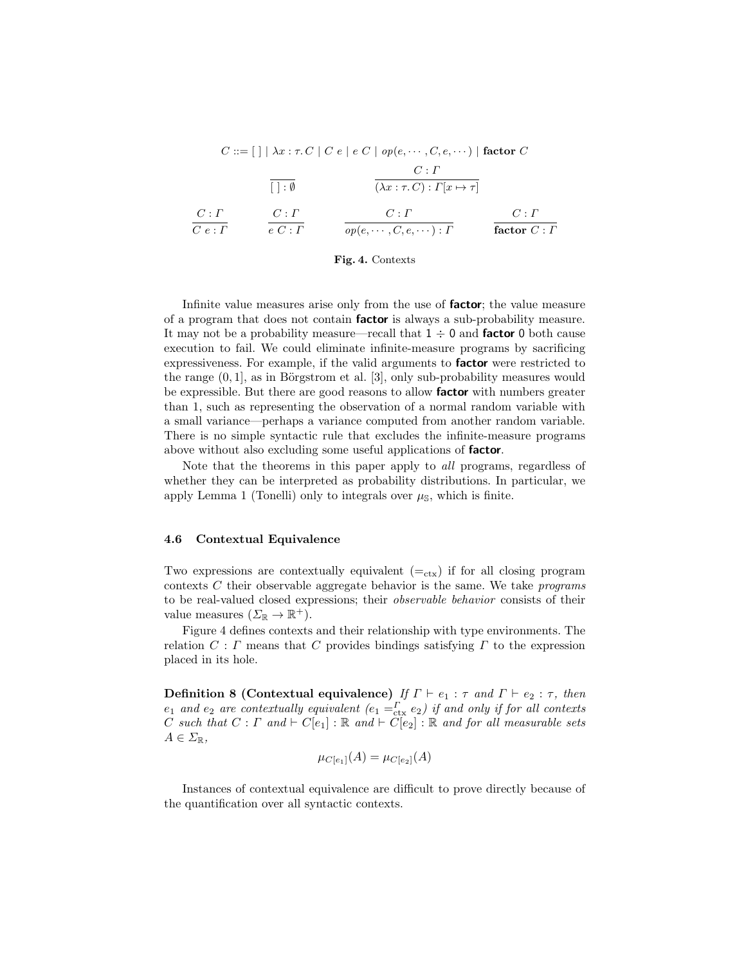|                |                                 | $C ::= \Box \cup \lambda x : \tau.C \mid C \in \vert e \cap C \vert op(e, \cdots, C, e, \cdots) \vert$ factor C |                    |
|----------------|---------------------------------|-----------------------------------------------------------------------------------------------------------------|--------------------|
|                |                                 | $C \cdot \Gamma$                                                                                                |                    |
|                | $\lceil \cdot \emptyset \rceil$ | $(\lambda x : \tau C) : \Gamma[x \mapsto \tau]$                                                                 |                    |
| $C: \Gamma$    | $C: \Gamma$                     | $C: \Gamma$                                                                                                     | $C: \Gamma$        |
| $C e : \Gamma$ | $e C : \Gamma$                  | $op(e, \cdots, C, e, \cdots): \Gamma$                                                                           | factor $C: \Gamma$ |

Fig. 4. Contexts

Infinite value measures arise only from the use of **factor**; the value measure of a program that does not contain factor is always a sub-probability measure. It may not be a probability measure—recall that  $1 \div 0$  and **factor** 0 both cause execution to fail. We could eliminate infinite-measure programs by sacrificing expressiveness. For example, if the valid arguments to factor were restricted to the range  $(0, 1]$ , as in Börgstrom et al. [3], only sub-probability measures would be expressible. But there are good reasons to allow **factor** with numbers greater than 1, such as representing the observation of a normal random variable with a small variance—perhaps a variance computed from another random variable. There is no simple syntactic rule that excludes the infinite-measure programs above without also excluding some useful applications of factor.

Note that the theorems in this paper apply to all programs, regardless of whether they can be interpreted as probability distributions. In particular, we apply Lemma 1 (Tonelli) only to integrals over  $\mu_{\mathbb{S}}$ , which is finite.

#### 4.6 Contextual Equivalence

Two expressions are contextually equivalent  $(=_{\text{ctx}})$  if for all closing program contexts  $C$  their observable aggregate behavior is the same. We take *programs* to be real-valued closed expressions; their observable behavior consists of their value measures  $(\Sigma_{\mathbb{R}} \to \mathbb{R}^+).$ 

Figure 4 defines contexts and their relationship with type environments. The relation  $C : \Gamma$  means that C provides bindings satisfying  $\Gamma$  to the expression placed in its hole.

**Definition 8 (Contextual equivalence)** If  $\Gamma \vdash e_1 : \tau$  and  $\Gamma \vdash e_2 : \tau$ , then  $e_1$  and  $e_2$  are contextually equivalent  $(e_1 = \begin{bmatrix} C_{\text{ctx}} & e_2 \end{bmatrix})$  if and only if for all contexts C such that  $C : \Gamma$  and  $\vdash C[e_1] : \mathbb{R}$  and  $\vdash C[e_2] : \mathbb{R}$  and for all measurable sets  $A \in \Sigma \mathbb{R},$ 

$$
\mu_{C[e_1]}(A) = \mu_{C[e_2]}(A)
$$

Instances of contextual equivalence are difficult to prove directly because of the quantification over all syntactic contexts.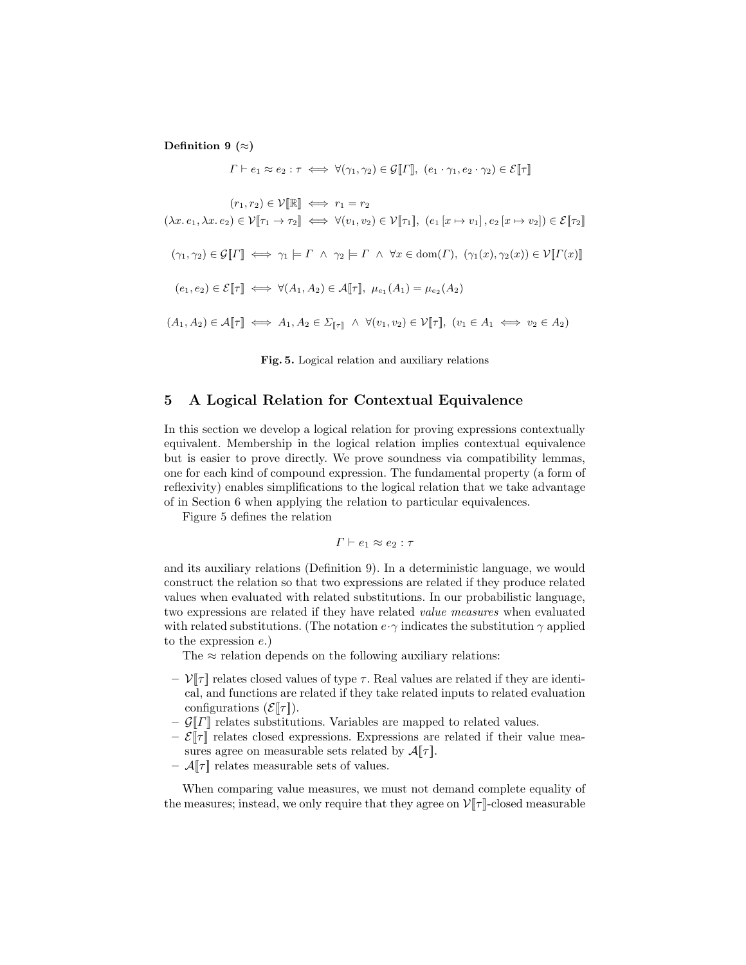Definition 9 ( $\approx$ )

 $\Gamma \vdash e_1 \approx e_2 : \tau \iff \forall (\gamma_1, \gamma_2) \in \mathcal{G}[\![\Gamma]\!], \ (e_1 \cdot \gamma_1, e_2 \cdot \gamma_2) \in \mathcal{E}[\![\tau]\!]$  $(r_1, r_2) \in \mathcal{V}[\mathbb{R}] \iff r_1 = r_2$  $(\lambda x.\, e_1, \lambda x.\, e_2) \in \mathcal{V}[\![\tau_1 \to \tau_2]\!] \iff \forall (v_1, v_2) \in \mathcal{V}[\![\tau_1]\!], \ (e_1 \, [x \mapsto v_1], e_2 \, [x \mapsto v_2]) \in \mathcal{E}[\![\tau_2]\!]$  $(\gamma_1, \gamma_2) \in \mathcal{G}[\![\Gamma]\!] \iff \gamma_1 \models \Gamma \land \gamma_2 \models \Gamma \land \forall x \in \text{dom}(\Gamma), (\gamma_1(x), \gamma_2(x)) \in \mathcal{V}[\![\Gamma(x)]\!]$  $(e_1, e_2) \in \mathcal{E}[\![\tau]\!] \iff \forall (A_1, A_2) \in \mathcal{A}[\![\tau]\!], \ \mu_{e_1}(A_1) = \mu_{e_2}(A_2)$  $(A_1, A_2) \in \mathcal{A}[\![\tau]\!] \iff A_1, A_2 \in \Sigma_{\llbracket \tau \rrbracket} \; \wedge \; \forall (v_1, v_2) \in \mathcal{V}[\![\tau]\!], \; (v_1 \in A_1 \iff v_2 \in A_2)$ 

Fig. 5. Logical relation and auxiliary relations

### 5 A Logical Relation for Contextual Equivalence

In this section we develop a logical relation for proving expressions contextually equivalent. Membership in the logical relation implies contextual equivalence but is easier to prove directly. We prove soundness via compatibility lemmas, one for each kind of compound expression. The fundamental property (a form of reflexivity) enables simplifications to the logical relation that we take advantage of in Section 6 when applying the relation to particular equivalences.

Figure 5 defines the relation

$$
\Gamma \vdash e_1 \approx e_2 : \tau
$$

and its auxiliary relations (Definition 9). In a deterministic language, we would construct the relation so that two expressions are related if they produce related values when evaluated with related substitutions. In our probabilistic language, two expressions are related if they have related value measures when evaluated with related substitutions. (The notation  $e \cdot \gamma$  indicates the substitution  $\gamma$  applied to the expression e.)

The  $\approx$  relation depends on the following auxiliary relations:

- $\mathcal{V}[\tau]$  relates closed values of type  $\tau$ . Real values are related if they are identical, and functions are related if they take related inputs to related evaluation configurations  $(\mathcal{E}[\![\tau]\!])$ .
- $\sim$   $\mathcal{G}\llbracket \Gamma \rrbracket$  relates substitutions. Variables are mapped to related values.
- $\mathcal{E}[\![\tau]\!]$  relates closed expressions. Expressions are related if their value measures agree on measurable sets related by  $\mathcal{A}[\![\tau]\!]$ .
- $\mathcal{A}[\![\tau]\!]$  relates measurable sets of values.

When comparing value measures, we must not demand complete equality of the measures; instead, we only require that they agree on  $V[\![\tau]\!]$ -closed measurable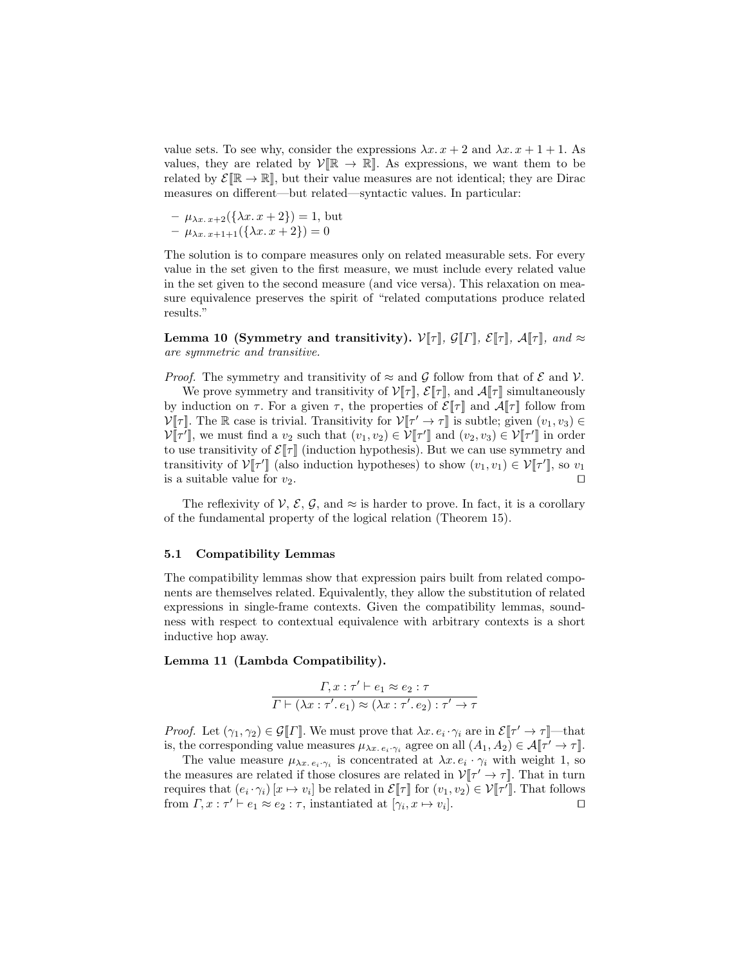value sets. To see why, consider the expressions  $\lambda x \cdot x + 2$  and  $\lambda x \cdot x + 1 + 1$ . As values, they are related by  $V[\mathbb{R} \to \mathbb{R}]$ . As expressions, we want them to be related by  $\mathcal{E}[\mathbb{R} \to \mathbb{R}]$ , but their value measures are not identical; they are Dirac measures on different—but related—syntactic values. In particular:

$$
-\mu_{\lambda x. x+2}(\{\lambda x. x+2\}) = 1, \text{ but } -\mu_{\lambda x. x+1+1}(\{\lambda x. x+2\}) = 0
$$

The solution is to compare measures only on related measurable sets. For every value in the set given to the first measure, we must include every related value in the set given to the second measure (and vice versa). This relaxation on measure equivalence preserves the spirit of "related computations produce related results."

Lemma 10 (Symmetry and transitivity).  $V[\![\tau]\!]$ ,  $\mathcal{G}[\![\Gamma]\!]$ ,  $\mathcal{E}[\![\tau]\!]$ ,  $\mathcal{A}[\![\tau]\!]$ , and  $\approx$ are symmetric and transitive.

*Proof.* The symmetry and transitivity of  $\approx$  and G follow from that of E and V.

We prove symmetry and transitivity of  $V[\![\tau]\!]$ ,  $\mathcal{E}[\![\tau]\!]$ , and  $\mathcal{A}[\![\tau]\!]$  simultaneously by induction on  $\tau$ . For a given  $\tau$ , the properties of  $\mathcal{E}[\![\tau]\!]$  and  $\mathcal{A}[\![\tau]\!]$  follow from  $\mathcal{V}[\![\tau]\!]$ . The R case is trivial. Transitivity for  $\mathcal{V}[\![\tau'\to\tau]\!]$  is subtle; given  $(v_1, v_3) \in$  $\mathcal{V}[\![\tau']\!]$ , we must find a  $v_2$  such that  $(v_1, v_2) \in \mathcal{V}[\![\tau']\!]$  and  $(v_2, v_3) \in \mathcal{V}[\![\tau']\!]$  in order to use transitivity of  $\mathcal{E}[\tau]$  (induction hypothesis). But we can use symmetry and transitivity of  $V[\![\tau']\!]$  (also induction hypotheses) to show  $(v_1, v_1) \in V[\![\tau']\!]$ , so  $v_1$ is a suitable value for  $v_2$ .

The reflexivity of  $\mathcal{V}, \mathcal{E}, \mathcal{G}, \text{ and } \approx \text{ is harder to prove. In fact, it is a corollary.}$ of the fundamental property of the logical relation (Theorem 15).

#### 5.1 Compatibility Lemmas

The compatibility lemmas show that expression pairs built from related components are themselves related. Equivalently, they allow the substitution of related expressions in single-frame contexts. Given the compatibility lemmas, soundness with respect to contextual equivalence with arbitrary contexts is a short inductive hop away.

#### Lemma 11 (Lambda Compatibility).

$$
\frac{\Gamma, x : \tau' \vdash e_1 \approx e_2 : \tau}{\Gamma \vdash (\lambda x : \tau'. e_1) \approx (\lambda x : \tau'. e_2) : \tau' \to \tau}
$$

*Proof.* Let  $(\gamma_1, \gamma_2) \in \mathcal{G}[\![\![\Gamma]\!]$ . We must prove that  $\lambda x. e_i \cdot \gamma_i$  are in  $\mathcal{E}[\![\tau' \to \tau]\!]$ —that is, the corresponding value measures  $\mu_{\lambda x.\, e_i \cdot \gamma_i}$  agree on all  $(A_1, A_2) \in \mathcal{A}[\![\tau' \to \tau]\!]$ .

The value measure  $\mu_{\lambda x.\, e_i \cdot \gamma_i}$  is concentrated at  $\lambda x.\, e_i \cdot \gamma_i$  with weight 1, so the measures are related if those closures are related in  $V[\tau' \to \tau]$ . That in turn requires that  $(e_i \cdot \gamma_i)$   $[x \mapsto v_i]$  be related in  $\mathcal{E}[\![\tau]\!]$  for  $(v_1, v_2) \in \mathcal{V}[\![\tau']\!]$ . That follows from  $\Gamma, x : \tau' \vdash e_1 \approx e_2 : \tau$ , instantiated at  $[\gamma_i, x \mapsto v_i]$  $\Box$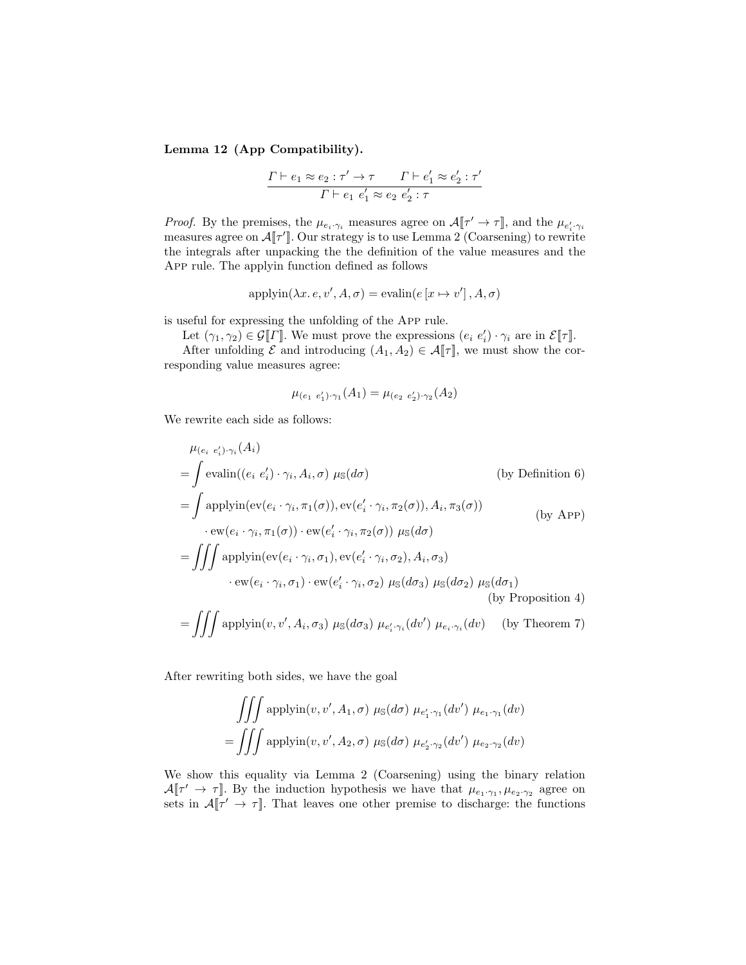Lemma 12 (App Compatibility).

$$
\frac{\Gamma \vdash e_1 \approx e_2 : \tau' \to \tau \qquad \Gamma \vdash e'_1 \approx e'_2 : \tau'}{\Gamma \vdash e_1 \; e'_1 \approx e_2 \; e'_2 : \tau}
$$

*Proof.* By the premises, the  $\mu_{e_i \cdot \gamma_i}$  measures agree on  $\mathcal{A}[\![\tau' \to \tau]\!]$ , and the  $\mu_{e'_i \cdot \gamma_i}$ measures agree on  $\mathcal{A}[\tau']$ . Our strategy is to use Lemma 2 (Coarsening) to rewrite the integrals after unpacking the the definition of the value measures and the App rule. The applyin function defined as follows

$$
applyin(\lambda x. e, v', A, \sigma) = \text{evalin}(e[x \mapsto v'], A, \sigma)
$$

is useful for expressing the unfolding of the App rule.

Let  $(\gamma_1, \gamma_2) \in \mathcal{G}[\![\Gamma]\!]$ . We must prove the expressions  $(e_i \; e'_i) \cdot \gamma_i$  are in  $\mathcal{E}[\![\tau]\!]$ .

After unfolding  $\mathcal E$  and introducing  $(A_1, A_2) \in \mathcal A[\![\tau]\!]$ , we must show the corresponding value measures agree:

$$
\mu_{(e_1 \ e'_1) \cdot \gamma_1}(A_1) = \mu_{(e_2 \ e'_2) \cdot \gamma_2}(A_2)
$$

We rewrite each side as follows:

$$
\mu_{(e_i e'_i)\cdot\gamma_i}(A_i)
$$
\n
$$
= \int \text{evalin}((e_i e'_i) \cdot \gamma_i, A_i, \sigma) \mu_{\mathbb{S}}(d\sigma)
$$
\n
$$
= \int \text{applyin}(\text{ev}(e_i \cdot \gamma_i, \pi_1(\sigma)), \text{ev}(e'_i \cdot \gamma_i, \pi_2(\sigma)), A_i, \pi_3(\sigma))
$$
\n
$$
\cdot \text{ew}(e_i \cdot \gamma_i, \pi_1(\sigma)) \cdot \text{ew}(e'_i \cdot \gamma_i, \pi_2(\sigma)) \mu_{\mathbb{S}}(d\sigma)
$$
\n
$$
= \iiint \text{applyin}(\text{ev}(e_i \cdot \gamma_i, \sigma_1), \text{ev}(e'_i \cdot \gamma_i, \sigma_2), A_i, \sigma_3)
$$
\n
$$
\cdot \text{ew}(e_i \cdot \gamma_i, \sigma_1) \cdot \text{ew}(e'_i \cdot \gamma_i, \sigma_2) \mu_{\mathbb{S}}(d\sigma_3) \mu_{\mathbb{S}}(d\sigma_2) \mu_{\mathbb{S}}(d\sigma_1)
$$
\n
$$
\text{(by Proposition 4)}
$$
\n
$$
= \iiint \text{applyin}(v, v', A_i, \sigma_3) \mu_{\mathbb{S}}(d\sigma_3) \mu_{e'_i \cdot \gamma_i}(dv') \mu_{e_i \cdot \gamma_i}(dv) \quad \text{(by Theorem 7)}
$$

After rewriting both sides, we have the goal

$$
\iiint \text{applyin}(v, v', A_1, \sigma) \mu_{\mathbb{S}}(d\sigma) \mu_{e'_1 \cdot \gamma_1}(dv') \mu_{e_1 \cdot \gamma_1}(dv)
$$

$$
= \iiint \text{applyin}(v, v', A_2, \sigma) \mu_{\mathbb{S}}(d\sigma) \mu_{e'_2 \cdot \gamma_2}(dv') \mu_{e_2 \cdot \gamma_2}(dv)
$$

We show this equality via Lemma 2 (Coarsening) using the binary relation  $\mathcal{A}[\tau' \to \tau]$ . By the induction hypothesis we have that  $\mu_{e_1 \cdot \gamma_1}, \mu_{e_2 \cdot \gamma_2}$  agree on sets in  $\mathcal{A}[\tau' \to \tau]$ . That leaves one other premise to discharge: the functions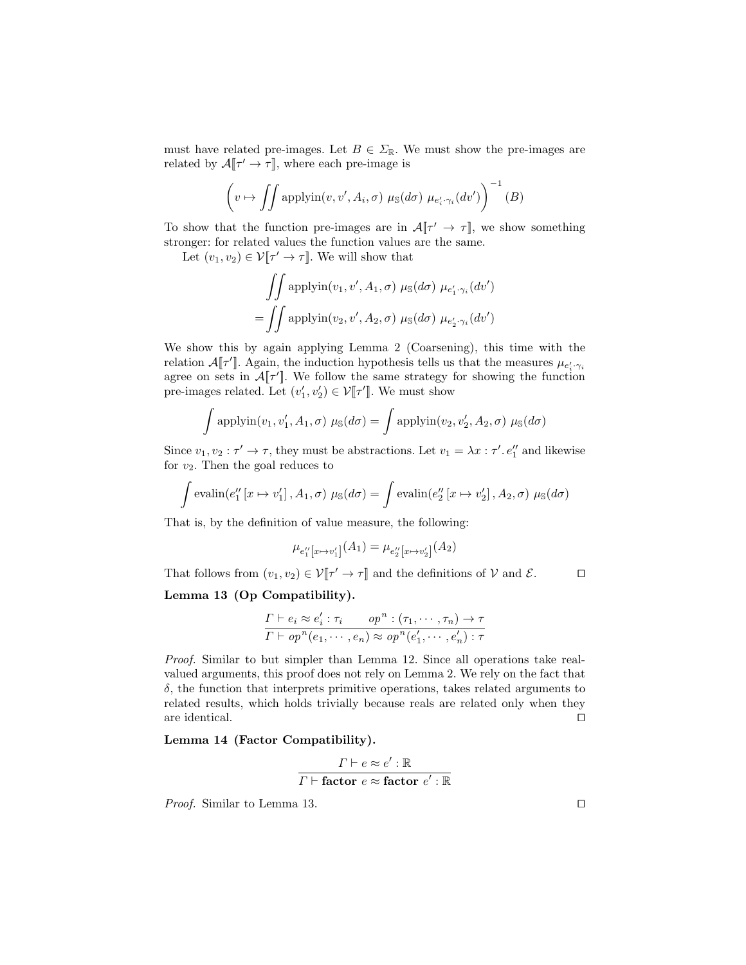must have related pre-images. Let  $B \in \Sigma_{\mathbb{R}}$ . We must show the pre-images are related by  $\mathcal{A}[\![\tau'\to\tau]\!]$ , where each pre-image is

$$
\left(v \mapsto \iint \text{applyin}(v, v', A_i, \sigma) \mu_{\mathbb{S}}(d\sigma) \mu_{e'_i \cdot \gamma_i}(dv')\right)^{-1}(B)
$$

To show that the function pre-images are in  $\mathcal{A}[\tau' \to \tau]$ , we show something stronger: for related values the function values are the same.

Let  $(v_1, v_2) \in \mathcal{V}[\![\tau' \to \tau]\!]$ . We will show that

$$
\iint \text{applyin}(v_1, v', A_1, \sigma) \mu_{\mathbb{S}}(d\sigma) \mu_{e'_1 \cdot \gamma_i}(dv')
$$

$$
= \iint \text{applyin}(v_2, v', A_2, \sigma) \mu_{\mathbb{S}}(d\sigma) \mu_{e'_2 \cdot \gamma_i}(dv')
$$

We show this by again applying Lemma 2 (Coarsening), this time with the relation  $\mathcal{A}[\tau']$ . Again, the induction hypothesis tells us that the measures  $\mu_{e'_i \cdot \gamma_i}$ agree on sets in  $\mathcal{A}[\![\tau']\!]$ . We follow the same strategy for showing the function pre-images related. Let  $(v'_1, v'_2) \in \mathcal{V}[\![\tau']\!]$ . We must show

$$
\int \mathrm{applyin}(v_1, v_1', A_1, \sigma) \mu_{\mathbb{S}}(d\sigma) = \int \mathrm{applyin}(v_2, v_2', A_2, \sigma) \mu_{\mathbb{S}}(d\sigma)
$$

Since  $v_1, v_2 : \tau' \to \tau$ , they must be abstractions. Let  $v_1 = \lambda x : \tau'$ .  $e_1''$  and likewise for  $v_2$ . Then the goal reduces to

$$
\int \text{evalin}(e_1''[x \mapsto v_1'], A_1, \sigma) \mu_{\mathbb{S}}(d\sigma) = \int \text{evalin}(e_2''[x \mapsto v_2'], A_2, \sigma) \mu_{\mathbb{S}}(d\sigma)
$$

That is, by the definition of value measure, the following:

$$
\mu_{e_1''[x \mapsto v_1']}(A_1) = \mu_{e_2''[x \mapsto v_2']}(A_2)
$$

That follows from  $(v_1, v_2) \in \mathcal{V}[\![\tau' \to \tau]\!]$  and the definitions of  $\mathcal{V}$  and  $\mathcal{E}$ .

### Lemma 13 (Op Compatibility).

 $\ddot{\phantom{0}}$ 

$$
\frac{\Gamma \vdash e_i \approx e'_i : \tau_i \qquad op^n : (\tau_1, \cdots, \tau_n) \to \tau}{\Gamma \vdash op^n(e_1, \cdots, e_n) \approx op^n(e'_1, \cdots, e'_n) : \tau}
$$

Proof. Similar to but simpler than Lemma 12. Since all operations take realvalued arguments, this proof does not rely on Lemma 2. We rely on the fact that  $\delta$ , the function that interprets primitive operations, takes related arguments to related results, which holds trivially because reals are related only when they are identical.  $\Box$ 

#### Lemma 14 (Factor Compatibility).

$$
\frac{\Gamma \vdash e \approx e' : \mathbb{R}}{\Gamma \vdash \textbf{factor } e \approx \textbf{factor } e' : \mathbb{R}}
$$

*Proof.* Similar to Lemma 13.  $\Box$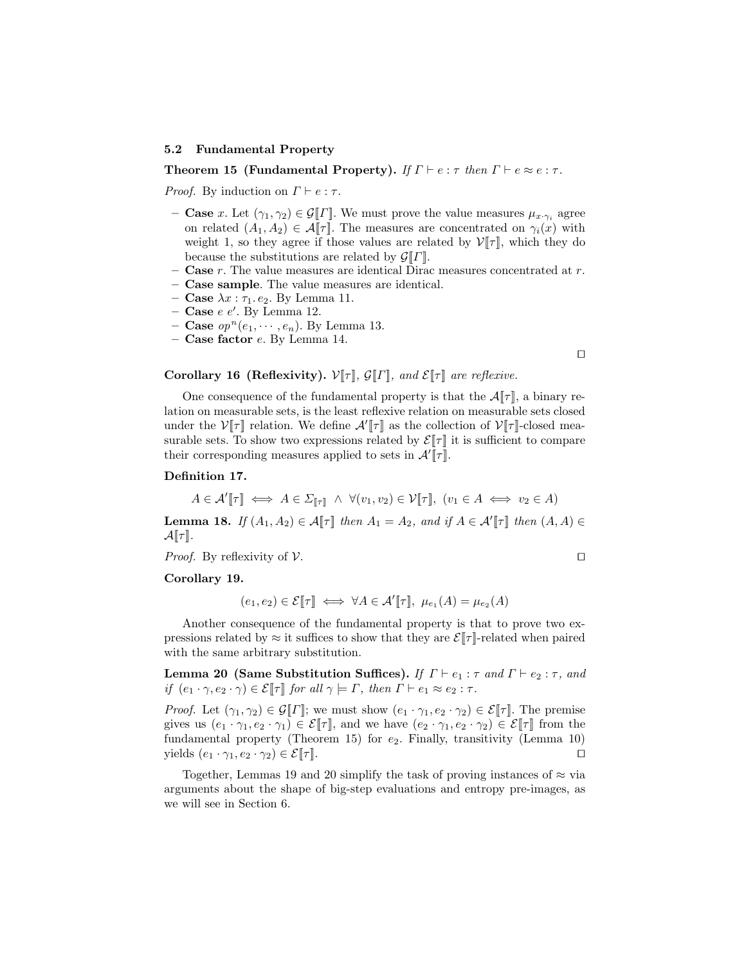#### 5.2 Fundamental Property

#### **Theorem 15 (Fundamental Property).** If  $\Gamma \vdash e : \tau$  then  $\Gamma \vdash e \approx e : \tau$ .

*Proof.* By induction on  $\Gamma \vdash e : \tau$ .

- **Case** x. Let  $(\gamma_1, \gamma_2) \in \mathcal{G}[[T]]$ . We must prove the value measures  $\mu_{x_i, \gamma_i}$  agree on related  $(A_1, A_2) \in \mathcal{A}[\![\tau]\!]$ . The measures are concentrated on  $\gamma_i(x)$  with weight 1, so they agree if those values are related by  $\mathcal{V}[\![\tau]\!]$ , which they do because the substitutions are related by  $\mathcal{G}[[\Gamma]]$ .
- Case  $r$ . The value measures are identical Dirac measures concentrated at  $r$ .
- Case sample. The value measures are identical.
- Case  $\lambda x : \tau_1 \cdot e_2$ . By Lemma 11.
- Case  $e e'$ . By Lemma 12.
- Case  $op^n(e_1, \dots, e_n)$ . By Lemma 13.
- Case factor e. By Lemma 14.

$$
\square
$$

### Corollary 16 (Reflexivity).  $V[\![\tau]\!]$ ,  $\mathcal{G}[\![\Gamma]\!]$ , and  $\mathcal{E}[\![\tau]\!]$  are reflexive.

One consequence of the fundamental property is that the  $\mathcal{A}[\![\tau]\!]$ , a binary relation on measurable sets, is the least reflexive relation on measurable sets closed under the  $V[\![\tau]\!]$  relation. We define  $\mathcal{A}'[\![\tau]\!]$  as the collection of  $V[\![\tau]\!]$ -closed measurable sets. To show two expressions related by  $\mathcal{E}[\tau]$  it is sufficient to compare their corresponding measures applied to sets in  $\mathcal{A}'[\tau]$ .

#### Definition 17.

$$
A \in \mathcal{A}'[\![\tau]\!] \iff A \in \Sigma_{[\![\tau]\!]} \land \forall (v_1, v_2) \in \mathcal{V}[\![\tau]\!], \ (v_1 \in A \iff v_2 \in A)
$$

**Lemma 18.** If  $(A_1, A_2) \in \mathcal{A}[\![\tau]\!]$  then  $A_1 = A_2$ , and if  $A \in \mathcal{A}'[\![\tau]\!]$  then  $(A, A) \in$  $\mathcal{A}[\![\tau]\!].$ 

*Proof.* By reflexivity of  $V$ .

#### Corollary 19.

$$
(e_1, e_2) \in \mathcal{E}[\![\tau]\!] \iff \forall A \in \mathcal{A}'[\![\tau]\!], \ \mu_{e_1}(A) = \mu_{e_2}(A)
$$

Another consequence of the fundamental property is that to prove two expressions related by  $\approx$  it suffices to show that they are  $\mathcal{E}[\![\tau]\!]$ -related when paired with the same arbitrary substitution.

Lemma 20 (Same Substitution Suffices). If  $\Gamma \vdash e_1 : \tau$  and  $\Gamma \vdash e_2 : \tau$ , and if  $(e_1 \cdot \gamma, e_2 \cdot \gamma) \in \mathcal{E}[\![\tau]\!]$  for all  $\gamma \models \Gamma$ , then  $\Gamma \vdash e_1 \approx e_2 : \tau$ .

*Proof.* Let  $(\gamma_1, \gamma_2) \in \mathcal{G}[\![\![\Gamma]\!]$ ; we must show  $(e_1 \cdot \gamma_1, e_2 \cdot \gamma_2) \in \mathcal{E}[\![\tau]\!]$ . The premise gives us  $(e_1 \cdot \gamma_1, e_2 \cdot \gamma_1) \in \mathcal{E}[\tau]$ , and we have  $(e_2 \cdot \gamma_1, e_2 \cdot \gamma_2) \in \mathcal{E}[\tau]$  from the fundamental property (Theorem 15) for  $e_2$ . Finally, transitivity (Lemma 10) yields  $(e_1 \cdot \gamma_1, e_2 \cdot \gamma_2) \in \mathcal{E}[\![\tau]\!]$ .

Together, Lemmas 19 and 20 simplify the task of proving instances of  $\approx$  via arguments about the shape of big-step evaluations and entropy pre-images, as we will see in Section 6.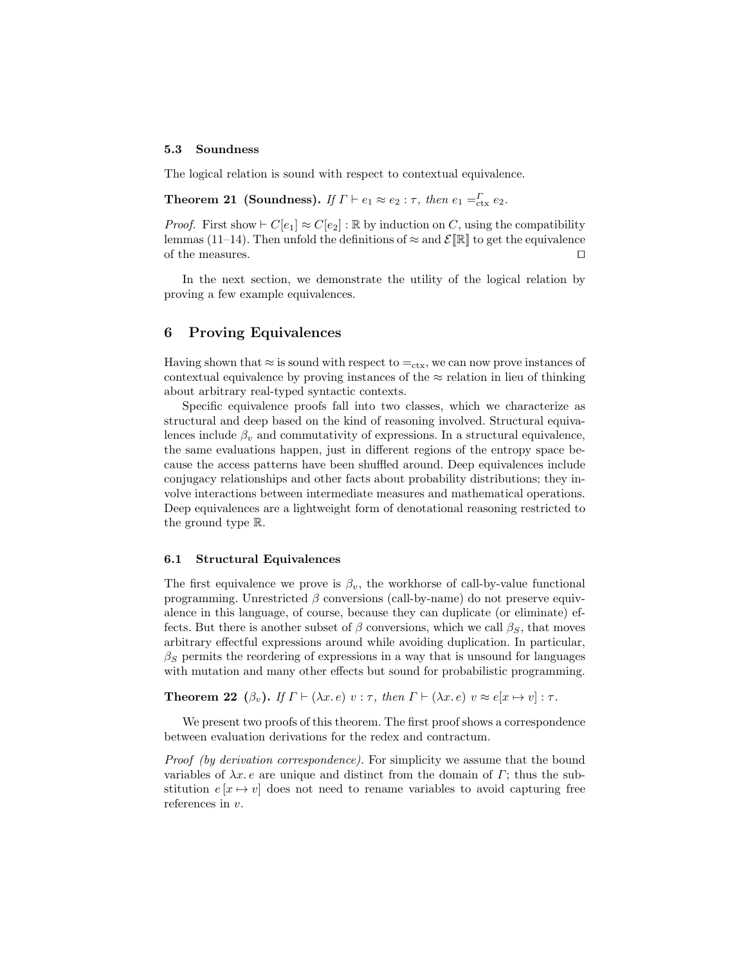#### 5.3 Soundness

The logical relation is sound with respect to contextual equivalence.

**Theorem 21 (Soundness).** If  $\Gamma \vdash e_1 \approx e_2 : \tau$ , then  $e_1 = \varepsilon_{\text{ctx}}^{\Gamma} e_2$ .

*Proof.* First show  $\vdash C[e_1] \approx C[e_2] : \mathbb{R}$  by induction on C, using the compatibility lemmas (11–14). Then unfold the definitions of  $\approx$  and  $\mathcal{E}[\mathbb{R}]$  to get the equivalence of the measures.  $\Box$ 

In the next section, we demonstrate the utility of the logical relation by proving a few example equivalences.

### 6 Proving Equivalences

Having shown that  $\approx$  is sound with respect to  $=$ <sub>ctx</sub>, we can now prove instances of contextual equivalence by proving instances of the  $\approx$  relation in lieu of thinking about arbitrary real-typed syntactic contexts.

Specific equivalence proofs fall into two classes, which we characterize as structural and deep based on the kind of reasoning involved. Structural equivalences include  $\beta_v$  and commutativity of expressions. In a structural equivalence, the same evaluations happen, just in different regions of the entropy space because the access patterns have been shuffled around. Deep equivalences include conjugacy relationships and other facts about probability distributions; they involve interactions between intermediate measures and mathematical operations. Deep equivalences are a lightweight form of denotational reasoning restricted to the ground type R.

#### 6.1 Structural Equivalences

The first equivalence we prove is  $\beta_v$ , the workhorse of call-by-value functional programming. Unrestricted  $\beta$  conversions (call-by-name) do not preserve equivalence in this language, of course, because they can duplicate (or eliminate) effects. But there is another subset of  $\beta$  conversions, which we call  $\beta_{\mathcal{S}}$ , that moves arbitrary effectful expressions around while avoiding duplication. In particular,  $\beta_S$  permits the reordering of expressions in a way that is unsound for languages with mutation and many other effects but sound for probabilistic programming.

**Theorem 22** ( $\beta_v$ ). If  $\Gamma \vdash (\lambda x. e) v : \tau$ , then  $\Gamma \vdash (\lambda x. e) v \approx e[x \mapsto v] : \tau$ .

We present two proofs of this theorem. The first proof shows a correspondence between evaluation derivations for the redex and contractum.

Proof (by derivation correspondence). For simplicity we assume that the bound variables of  $\lambda x. e$  are unique and distinct from the domain of  $\Gamma$ ; thus the substitution  $e[x \mapsto v]$  does not need to rename variables to avoid capturing free references in v.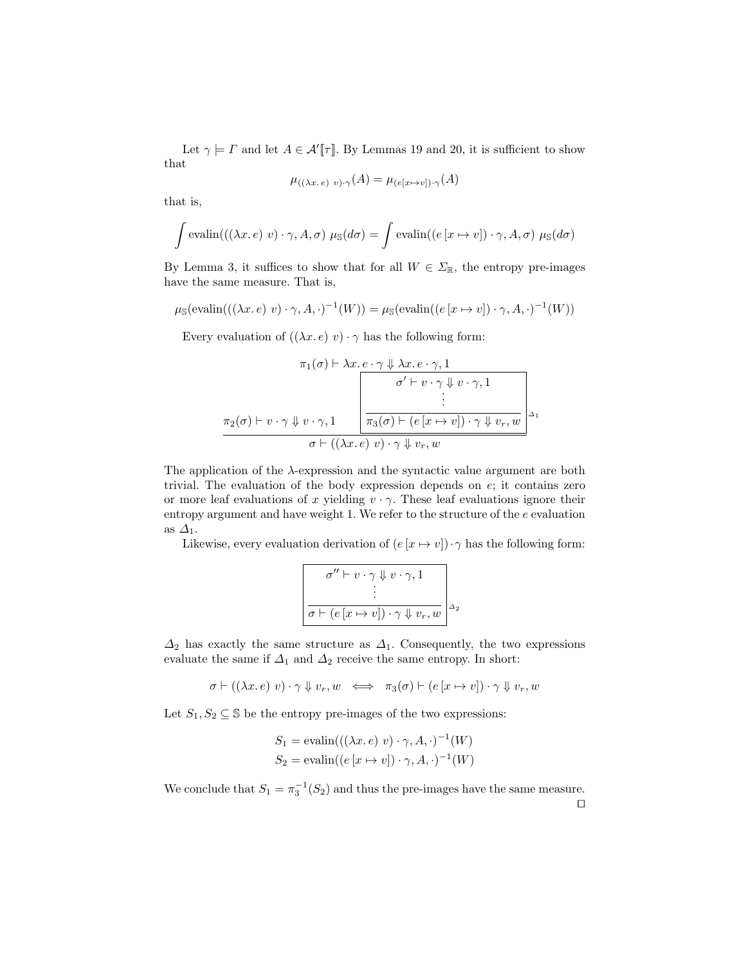Let  $\gamma \models \Gamma$  and let  $A \in \mathcal{A}'[\![\tau]\!]$ . By Lemmas 19 and 20, it is sufficient to show that

$$
\mu_{((\lambda x. e) v) \cdot \gamma}(A) = \mu_{(e[x \mapsto v]) \cdot \gamma}(A)
$$

that is,

$$
\int \text{evalin}(((\lambda x.\, e)\, v)\cdot \gamma, A, \sigma)\, \mu_{\mathbb{S}}(d\sigma) = \int \text{evalin}((e\, [x \mapsto v])\cdot \gamma, A, \sigma)\, \mu_{\mathbb{S}}(d\sigma)
$$

By Lemma 3, it suffices to show that for all  $W \in \Sigma_{\mathbb{R}}$ , the entropy pre-images have the same measure. That is,

$$
\mu_{\mathbb{S}}(\text{evalin}((\lambda x.\, e)\, v)\cdot \gamma, A, \cdot)^{-1}(W)) = \mu_{\mathbb{S}}(\text{evalin}((e\, [x \mapsto v])\cdot \gamma, A, \cdot)^{-1}(W))
$$

Every evaluation of  $((\lambda x. e) v) \cdot \gamma$  has the following form:

$$
\pi_1(\sigma) \vdash \lambda x. e \cdot \gamma \Downarrow \lambda x. e \cdot \gamma, 1
$$
\n
$$
\sigma' \vdash v \cdot \gamma \Downarrow v \cdot \gamma, 1
$$
\n
$$
\vdots
$$
\n
$$
\pi_2(\sigma) \vdash v \cdot \gamma \Downarrow v \cdot \gamma, 1
$$
\n
$$
\sigma \vdash ((\lambda x. e) v) \cdot \gamma \Downarrow v_r, w
$$

The application of the  $\lambda$ -expression and the syntactic value argument are both trivial. The evaluation of the body expression depends on e; it contains zero or more leaf evaluations of x yielding  $v \cdot \gamma$ . These leaf evaluations ignore their entropy argument and have weight 1. We refer to the structure of the  $e$  evaluation as  $\Delta_1$ .

Likewise, every evaluation derivation of  $(e[x \mapsto v]) \cdot \gamma$  has the following form:

| $\sigma'' \vdash v \cdot \gamma \Downarrow v \cdot \gamma, 1$   |  |
|-----------------------------------------------------------------|--|
|                                                                 |  |
| $\sigma \vdash (e[x \mapsto v]) \cdot \gamma \Downarrow v_r, w$ |  |

 $\Delta_2$  has exactly the same structure as  $\Delta_1$ . Consequently, the two expressions evaluate the same if  $\Delta_1$  and  $\Delta_2$  receive the same entropy. In short:

$$
\sigma \vdash ((\lambda x. e) v) \cdot \gamma \Downarrow v_r, w \iff \pi_3(\sigma) \vdash (e [x \mapsto v]) \cdot \gamma \Downarrow v_r, w
$$

Let  $S_1, S_2 \subseteq \mathbb{S}$  be the entropy pre-images of the two expressions:

$$
S_1 = \text{evalin}(((\lambda x. e) v) \cdot \gamma, A, \cdot)^{-1}(W)
$$
  
\n
$$
S_2 = \text{evalin}((e [x \mapsto v]) \cdot \gamma, A, \cdot)^{-1}(W)
$$

We conclude that  $S_1 = \pi_3^{-1}(S_2)$  and thus the pre-images have the same measure.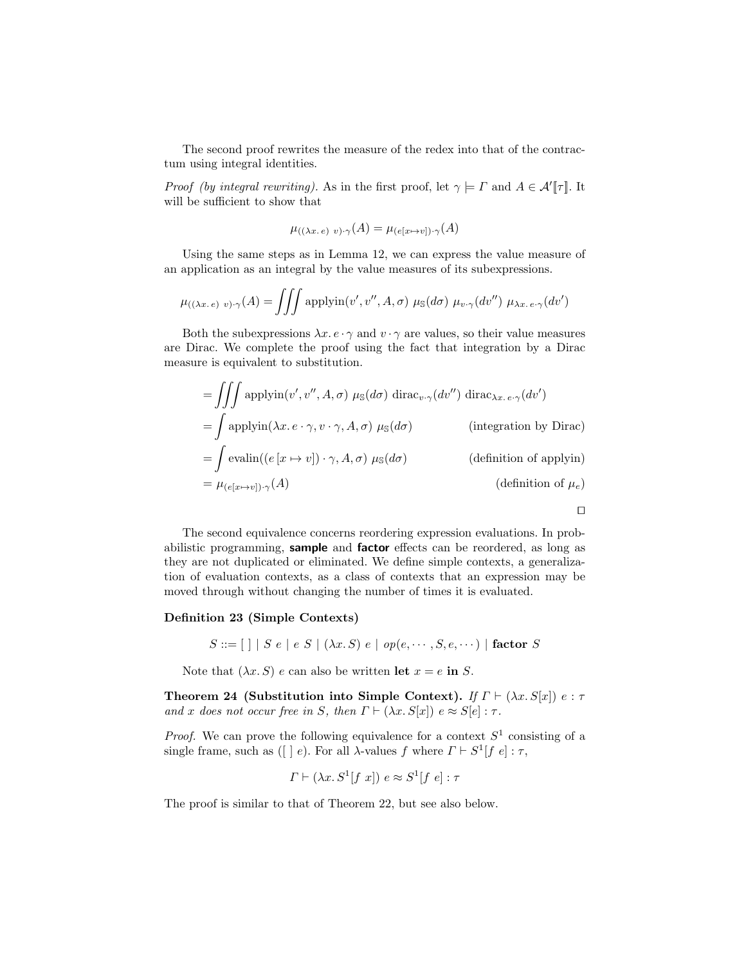The second proof rewrites the measure of the redex into that of the contractum using integral identities.

*Proof (by integral rewriting).* As in the first proof, let  $\gamma \models \Gamma$  and  $A \in \mathcal{A}'[\![\tau]\!]$ . It will be sufficient to show that

$$
\mu_{((\lambda x.\ e)\ v)\cdot\gamma}(A) = \mu_{(e[x\mapsto v])\cdot\gamma}(A)
$$

Using the same steps as in Lemma 12, we can express the value measure of an application as an integral by the value measures of its subexpressions.

$$
\mu(\lambda x. e) v) \cdot \gamma(A) = \iiint \text{applyin}(v', v'', A, \sigma) \mu_{\mathbb{S}}(d\sigma) \mu_{v \cdot \gamma}(dv'') \mu_{\lambda x. e \cdot \gamma}(dv')
$$

Both the subexpressions  $\lambda x. e \cdot \gamma$  and  $v \cdot \gamma$  are values, so their value measures are Dirac. We complete the proof using the fact that integration by a Dirac measure is equivalent to substitution.

$$
= \iiint \text{applying}(v', v'', A, \sigma) \mu_{\mathbb{S}}(d\sigma) \text{ dirac}_{v \cdot \gamma}(dv'') \text{ dirac}_{\lambda x. e \cdot \gamma}(dv')
$$
  
\n
$$
= \int \text{applyin}(\lambda x. e \cdot \gamma, v \cdot \gamma, A, \sigma) \mu_{\mathbb{S}}(d\sigma) \qquad \text{(integration by Dirac)}
$$
  
\n
$$
= \int \text{evalin}((e [x \mapsto v]) \cdot \gamma, A, \sigma) \mu_{\mathbb{S}}(d\sigma) \qquad \text{(definition of applyin)}
$$
  
\n
$$
= \mu_{(e[x \mapsto v]) \cdot \gamma}(A) \qquad \text{(definition of } \mu_e)
$$

The second equivalence concerns reordering expression evaluations. In probabilistic programming, sample and factor effects can be reordered, as long as they are not duplicated or eliminated. We define simple contexts, a generalization of evaluation contexts, as a class of contexts that an expression may be moved through without changing the number of times it is evaluated.

#### Definition 23 (Simple Contexts)

$$
S ::= [ | | S e | e S | (\lambda x. S) e | op(e, \dots, S, e, \dots) |
$$
 factor S

Note that  $(\lambda x. S) e$  can also be written let  $x = e$  in S.

Theorem 24 (Substitution into Simple Context). If  $\Gamma \vdash (\lambda x. S[x]) e : \tau$ and x does not occur free in S, then  $\Gamma \vdash (\lambda x. S[x]) e \approx S[e] : \tau$ .

*Proof.* We can prove the following equivalence for a context  $S^1$  consisting of a single frame, such as ([ | e). For all  $\lambda$ -values f where  $\Gamma \vdash S^1[f \; e] : \tau$ ,

$$
\Gamma \vdash (\lambda x. S^1[f\ x])\ e \approx S^1[f\ e]: \tau
$$

The proof is similar to that of Theorem 22, but see also below.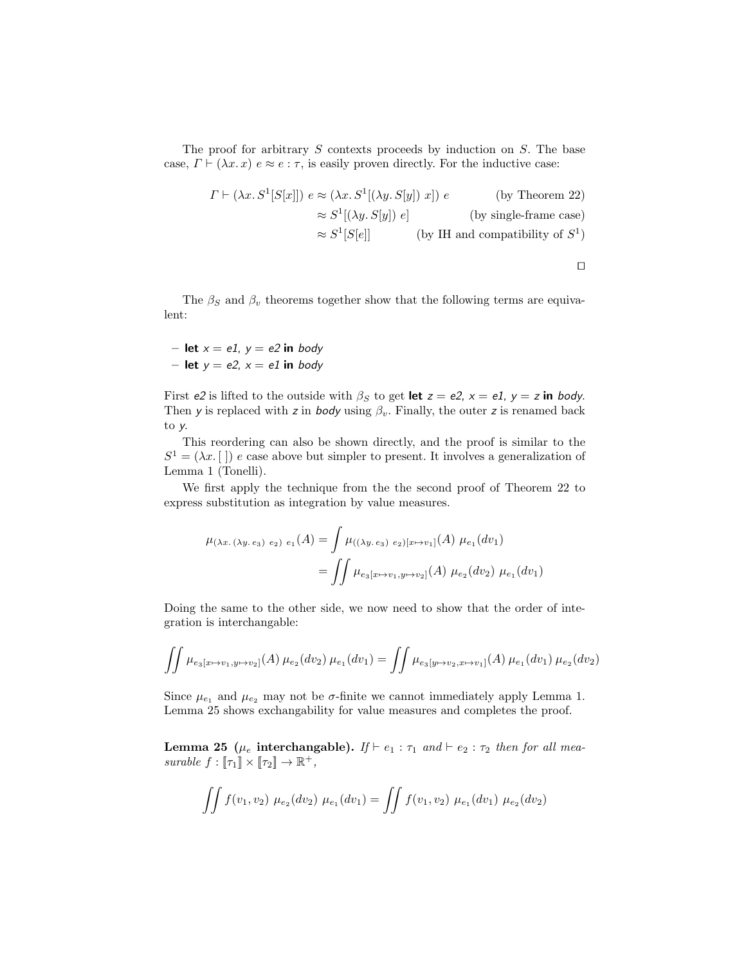The proof for arbitrary  $S$  contexts proceeds by induction on  $S$ . The base case,  $\Gamma \vdash (\lambda x. x) \cdot e \approx e : \tau$ , is easily proven directly. For the inductive case:

$$
\Gamma \vdash (\lambda x. S^1[S[x]]) \ e \approx (\lambda x. S^1[(\lambda y. S[y]) \ x]) \ e \qquad \text{(by Theorem 22)}
$$

$$
\approx S^1[(\lambda y. S[y]) \ e] \qquad \text{(by single-frame case)}
$$

$$
\approx S^1[S[e]] \qquad \text{(by IH and compatibility of } S^1)
$$

 $\Box$ 

The  $\beta_S$  and  $\beta_v$  theorems together show that the following terms are equivalent:

\n- let 
$$
x = e1
$$
,  $y = e2$  in body
\n- let  $y = e2$ ,  $x = e1$  in body
\n

First e2 is lifted to the outside with  $\beta_S$  to get let  $z = e^2$ ,  $x = e^2$ ,  $y = z$  in body. Then y is replaced with z in body using  $\beta_v$ . Finally, the outer z is renamed back to y.

This reordering can also be shown directly, and the proof is similar to the  $S^1 = (\lambda x. \Box) e$  case above but simpler to present. It involves a generalization of Lemma 1 (Tonelli).

We first apply the technique from the the second proof of Theorem 22 to express substitution as integration by value measures.

$$
\mu_{(\lambda x.(\lambda y. e_3) e_2) e_1}(A) = \int \mu_{((\lambda y. e_3) e_2)[x \to v_1]}(A) \mu_{e_1}(dv_1)
$$
  
= 
$$
\iint \mu_{e_3[x \to v_1, y \to v_2]}(A) \mu_{e_2}(dv_2) \mu_{e_1}(dv_1)
$$

Doing the same to the other side, we now need to show that the order of integration is interchangable:

$$
\int \int \mu_{e_3[x \mapsto v_1, y \mapsto v_2]}(A) \mu_{e_2}(dv_2) \mu_{e_1}(dv_1) = \int \int \mu_{e_3[y \mapsto v_2, x \mapsto v_1]}(A) \mu_{e_1}(dv_1) \mu_{e_2}(dv_2)
$$

Since  $\mu_{e_1}$  and  $\mu_{e_2}$  may not be  $\sigma$ -finite we cannot immediately apply Lemma 1. Lemma 25 shows exchangability for value measures and completes the proof.

**Lemma 25** ( $\mu_e$  interchangable). If  $\vdash e_1 : \tau_1$  and  $\vdash e_2 : \tau_2$  then for all measurable  $f: [\![\tau_1]\!] \times [\![\tau_2]\!] \to \mathbb{R}^+,$ 

$$
\iint f(v_1, v_2) \mu_{e_2}(dv_2) \mu_{e_1}(dv_1) = \iint f(v_1, v_2) \mu_{e_1}(dv_1) \mu_{e_2}(dv_2)
$$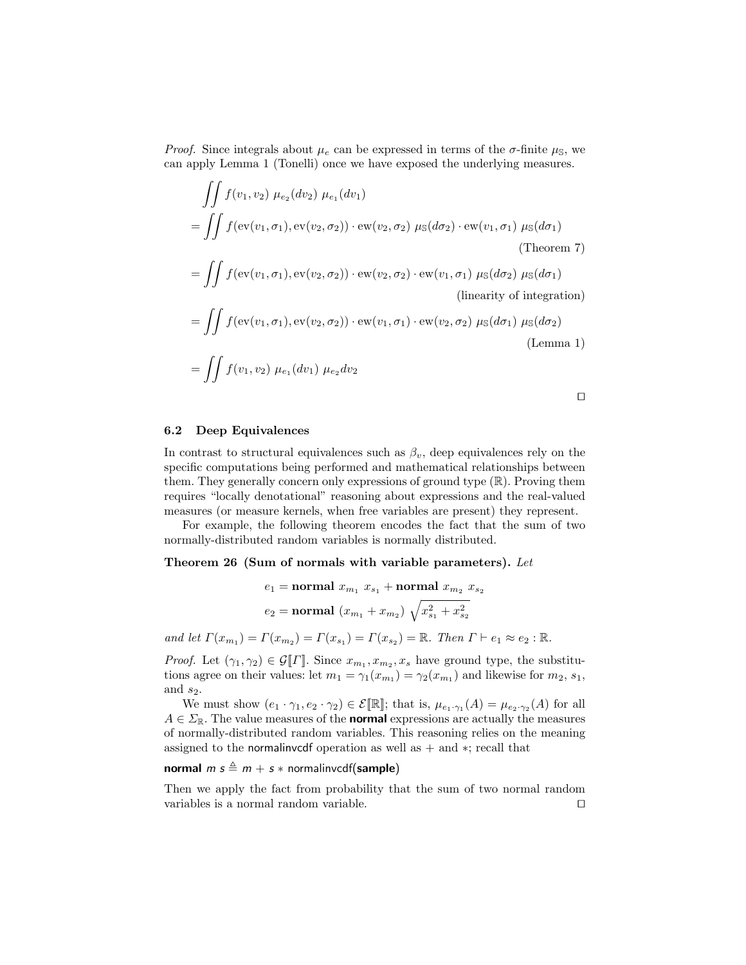*Proof.* Since integrals about  $\mu_e$  can be expressed in terms of the  $\sigma$ -finite  $\mu_s$ , we can apply Lemma 1 (Tonelli) once we have exposed the underlying measures.

$$
\iint f(v_1, v_2) \mu_{e_2}(dv_2) \mu_{e_1}(dv_1)
$$
\n
$$
= \iint f(\text{ev}(v_1, \sigma_1), \text{ev}(v_2, \sigma_2)) \cdot \text{ew}(v_2, \sigma_2) \mu_{\mathbb{S}}(d\sigma_2) \cdot \text{ew}(v_1, \sigma_1) \mu_{\mathbb{S}}(d\sigma_1)
$$
\n(Theorem 7)\n
$$
= \iint f(\text{ev}(v_1, \sigma_1), \text{ev}(v_2, \sigma_2)) \cdot \text{ew}(v_2, \sigma_2) \cdot \text{ew}(v_1, \sigma_1) \mu_{\mathbb{S}}(d\sigma_2) \mu_{\mathbb{S}}(d\sigma_1)
$$
\n(linearity of integration)\n
$$
= \iint f(\text{ev}(v_1, \sigma_1), \text{ev}(v_2, \sigma_2)) \cdot \text{ew}(v_1, \sigma_1) \cdot \text{ew}(v_2, \sigma_2) \mu_{\mathbb{S}}(d\sigma_1) \mu_{\mathbb{S}}(d\sigma_2)
$$
\n(Lemma 1)\n
$$
= \iint f(v_1, v_2) \mu_{e_1}(dv_1) \mu_{e_2} dv_2
$$

 $\Box$ 

#### 6.2 Deep Equivalences

In contrast to structural equivalences such as  $\beta_v$ , deep equivalences rely on the specific computations being performed and mathematical relationships between them. They generally concern only expressions of ground type  $(\mathbb{R})$ . Proving them requires "locally denotational" reasoning about expressions and the real-valued measures (or measure kernels, when free variables are present) they represent.

For example, the following theorem encodes the fact that the sum of two normally-distributed random variables is normally distributed.

### Theorem 26 (Sum of normals with variable parameters). Let

$$
e_1 = \text{normal } x_{m_1} \ x_{s_1} + \text{normal } x_{m_2} \ x_{s_2}
$$

$$
e_2 = \text{normal } (x_{m_1} + x_{m_2}) \ \sqrt{x_{s_1}^2 + x_{s_2}^2}
$$

and let  $\Gamma(x_{m_1}) = \Gamma(x_{m_2}) = \Gamma(x_{s_1}) = \Gamma(x_{s_2}) = \mathbb{R}$ . Then  $\Gamma \vdash e_1 \approx e_2 : \mathbb{R}$ .

*Proof.* Let  $(\gamma_1, \gamma_2) \in \mathcal{G}[\![\![\Gamma]\!]\!]$ . Since  $x_{m_1}, x_{m_2}, x_s$  have ground type, the substitutions agree on their values: let  $m_1 = \gamma_1(x_{m_1}) = \gamma_2(x_{m_1})$  and likewise for  $m_2, s_1$ , and  $s_2$ .

We must show  $(e_1 \cdot \gamma_1, e_2 \cdot \gamma_2) \in \mathcal{E}[\mathbb{R}]$ ; that is,  $\mu_{e_1 \cdot \gamma_1}(A) = \mu_{e_2 \cdot \gamma_2}(A)$  for all  $A \in \Sigma_{\mathbb{R}}$ . The value measures of the **normal** expressions are actually the measures of normally-distributed random variables. This reasoning relies on the meaning assigned to the normalinved operation as well as  $+$  and  $*$ ; recall that

### normal  $m s \triangleq m + s *$  normalinvcdf(sample)

Then we apply the fact from probability that the sum of two normal random variables is a normal random variable.  $\Box$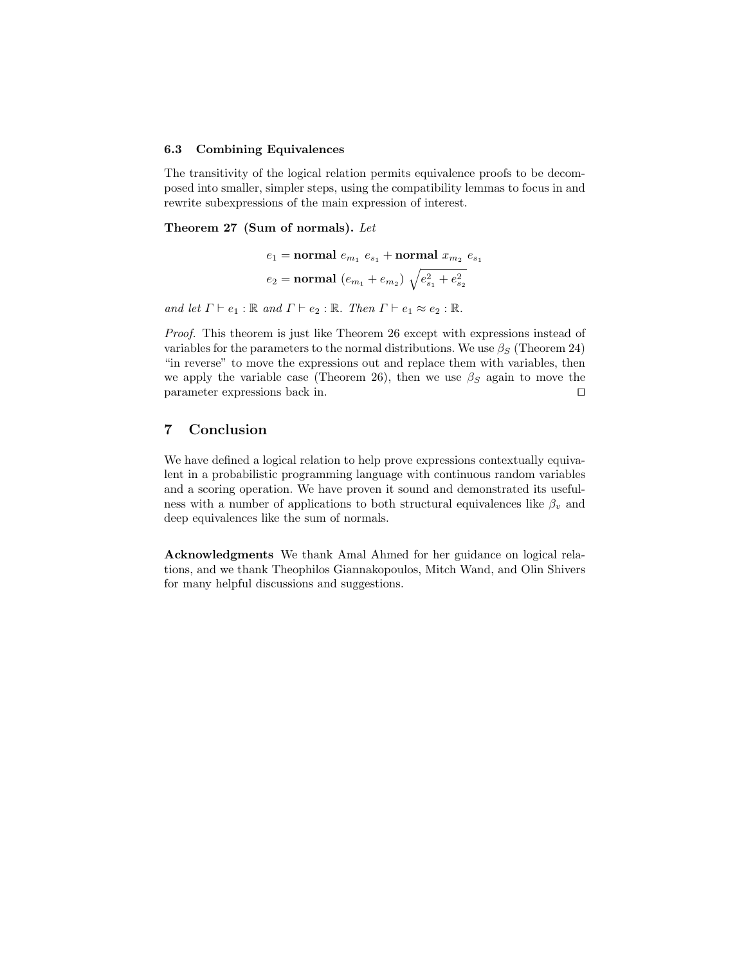#### 6.3 Combining Equivalences

The transitivity of the logical relation permits equivalence proofs to be decomposed into smaller, simpler steps, using the compatibility lemmas to focus in and rewrite subexpressions of the main expression of interest.

Theorem 27 (Sum of normals). Let

 $e_1 = \text{normal } e_{m_1} e_{s_1} + \text{normal } x_{m_2} e_{s_1}$  $e_2 = \mathbf{normal}\,\left(e_{m_1} + e_{m_2}\right)\, \sqrt{e_{s_1}^2 + e_{s_2}^2}$ 

and let  $\Gamma \vdash e_1 : \mathbb{R}$  and  $\Gamma \vdash e_2 : \mathbb{R}$ . Then  $\Gamma \vdash e_1 \approx e_2 : \mathbb{R}$ .

Proof. This theorem is just like Theorem 26 except with expressions instead of variables for the parameters to the normal distributions. We use  $\beta_S$  (Theorem 24) "in reverse" to move the expressions out and replace them with variables, then we apply the variable case (Theorem 26), then we use  $\beta_S$  again to move the  $\Box$  parameter expressions back in.  $\Box$ 

### 7 Conclusion

We have defined a logical relation to help prove expressions contextually equivalent in a probabilistic programming language with continuous random variables and a scoring operation. We have proven it sound and demonstrated its usefulness with a number of applications to both structural equivalences like  $\beta_v$  and deep equivalences like the sum of normals.

Acknowledgments We thank Amal Ahmed for her guidance on logical relations, and we thank Theophilos Giannakopoulos, Mitch Wand, and Olin Shivers for many helpful discussions and suggestions.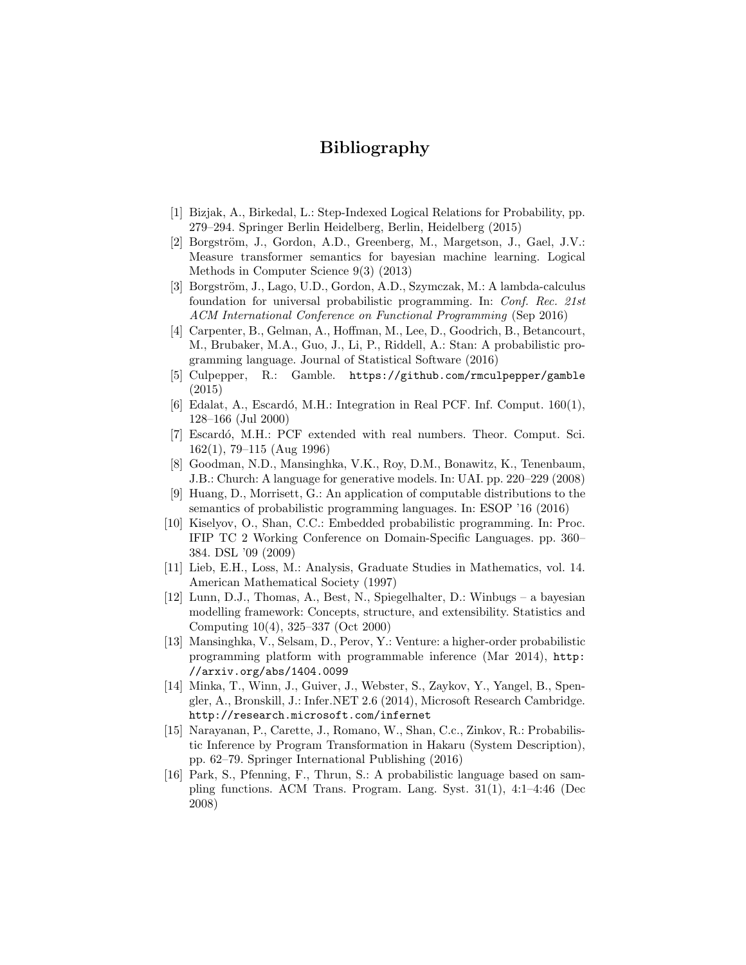## Bibliography

- [1] Bizjak, A., Birkedal, L.: Step-Indexed Logical Relations for Probability, pp. 279–294. Springer Berlin Heidelberg, Berlin, Heidelberg (2015)
- [2] Borgström, J., Gordon, A.D., Greenberg, M., Margetson, J., Gael, J.V.: Measure transformer semantics for bayesian machine learning. Logical Methods in Computer Science 9(3) (2013)
- [3] Borgström, J., Lago, U.D., Gordon, A.D., Szymczak, M.: A lambda-calculus foundation for universal probabilistic programming. In: Conf. Rec. 21st ACM International Conference on Functional Programming (Sep 2016)
- [4] Carpenter, B., Gelman, A., Hoffman, M., Lee, D., Goodrich, B., Betancourt, M., Brubaker, M.A., Guo, J., Li, P., Riddell, A.: Stan: A probabilistic programming language. Journal of Statistical Software (2016)
- [5] Culpepper, R.: Gamble. https://github.com/rmculpepper/gamble (2015)
- [6] Edalat, A., Escardó, M.H.: Integration in Real PCF. Inf. Comput.  $160(1)$ , 128–166 (Jul 2000)
- [7] Escardó, M.H.: PCF extended with real numbers. Theor. Comput. Sci. 162(1), 79–115 (Aug 1996)
- [8] Goodman, N.D., Mansinghka, V.K., Roy, D.M., Bonawitz, K., Tenenbaum, J.B.: Church: A language for generative models. In: UAI. pp. 220–229 (2008)
- [9] Huang, D., Morrisett, G.: An application of computable distributions to the semantics of probabilistic programming languages. In: ESOP '16 (2016)
- [10] Kiselyov, O., Shan, C.C.: Embedded probabilistic programming. In: Proc. IFIP TC 2 Working Conference on Domain-Specific Languages. pp. 360– 384. DSL '09 (2009)
- [11] Lieb, E.H., Loss, M.: Analysis, Graduate Studies in Mathematics, vol. 14. American Mathematical Society (1997)
- [12] Lunn, D.J., Thomas, A., Best, N., Spiegelhalter, D.: Winbugs a bayesian modelling framework: Concepts, structure, and extensibility. Statistics and Computing 10(4), 325–337 (Oct 2000)
- [13] Mansinghka, V., Selsam, D., Perov, Y.: Venture: a higher-order probabilistic programming platform with programmable inference (Mar 2014), http: //arxiv.org/abs/1404.0099
- [14] Minka, T., Winn, J., Guiver, J., Webster, S., Zaykov, Y., Yangel, B., Spengler, A., Bronskill, J.: Infer.NET 2.6 (2014), Microsoft Research Cambridge. http://research.microsoft.com/infernet
- [15] Narayanan, P., Carette, J., Romano, W., Shan, C.c., Zinkov, R.: Probabilistic Inference by Program Transformation in Hakaru (System Description), pp. 62–79. Springer International Publishing (2016)
- [16] Park, S., Pfenning, F., Thrun, S.: A probabilistic language based on sampling functions. ACM Trans. Program. Lang. Syst. 31(1), 4:1–4:46 (Dec 2008)